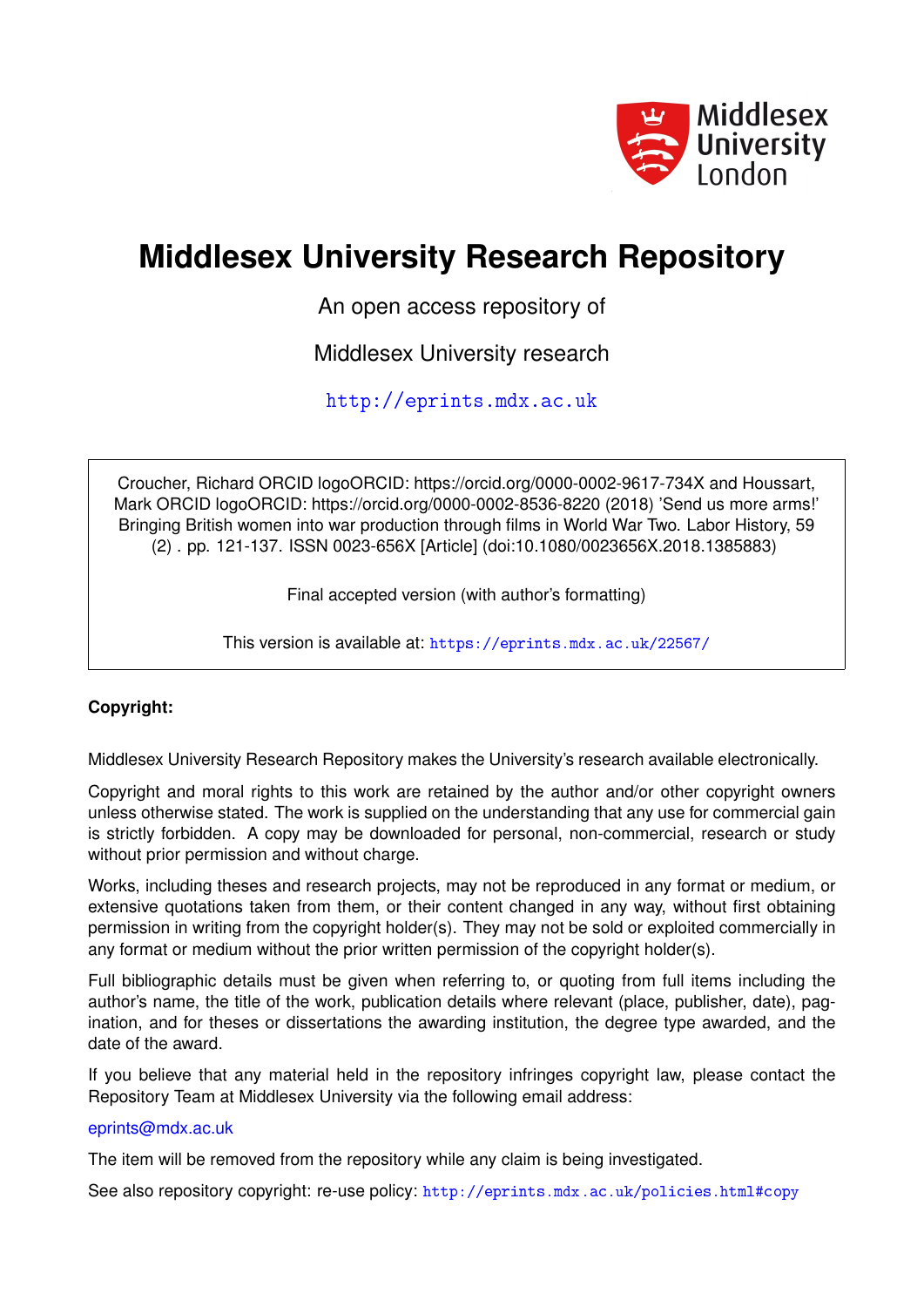

# **Middlesex University Research Repository**

An open access repository of

Middlesex University research

<http://eprints.mdx.ac.uk>

Croucher, Richard ORCID logoORCID: https://orcid.org/0000-0002-9617-734X and Houssart, Mark ORCID logoORCID: https://orcid.org/0000-0002-8536-8220 (2018) 'Send us more arms!' Bringing British women into war production through films in World War Two. Labor History, 59 (2) . pp. 121-137. ISSN 0023-656X [Article] (doi:10.1080/0023656X.2018.1385883)

Final accepted version (with author's formatting)

This version is available at: <https://eprints.mdx.ac.uk/22567/>

# **Copyright:**

Middlesex University Research Repository makes the University's research available electronically.

Copyright and moral rights to this work are retained by the author and/or other copyright owners unless otherwise stated. The work is supplied on the understanding that any use for commercial gain is strictly forbidden. A copy may be downloaded for personal, non-commercial, research or study without prior permission and without charge.

Works, including theses and research projects, may not be reproduced in any format or medium, or extensive quotations taken from them, or their content changed in any way, without first obtaining permission in writing from the copyright holder(s). They may not be sold or exploited commercially in any format or medium without the prior written permission of the copyright holder(s).

Full bibliographic details must be given when referring to, or quoting from full items including the author's name, the title of the work, publication details where relevant (place, publisher, date), pagination, and for theses or dissertations the awarding institution, the degree type awarded, and the date of the award.

If you believe that any material held in the repository infringes copyright law, please contact the Repository Team at Middlesex University via the following email address:

## [eprints@mdx.ac.uk](mailto:eprints@mdx.ac.uk)

The item will be removed from the repository while any claim is being investigated.

See also repository copyright: re-use policy: <http://eprints.mdx.ac.uk/policies.html#copy>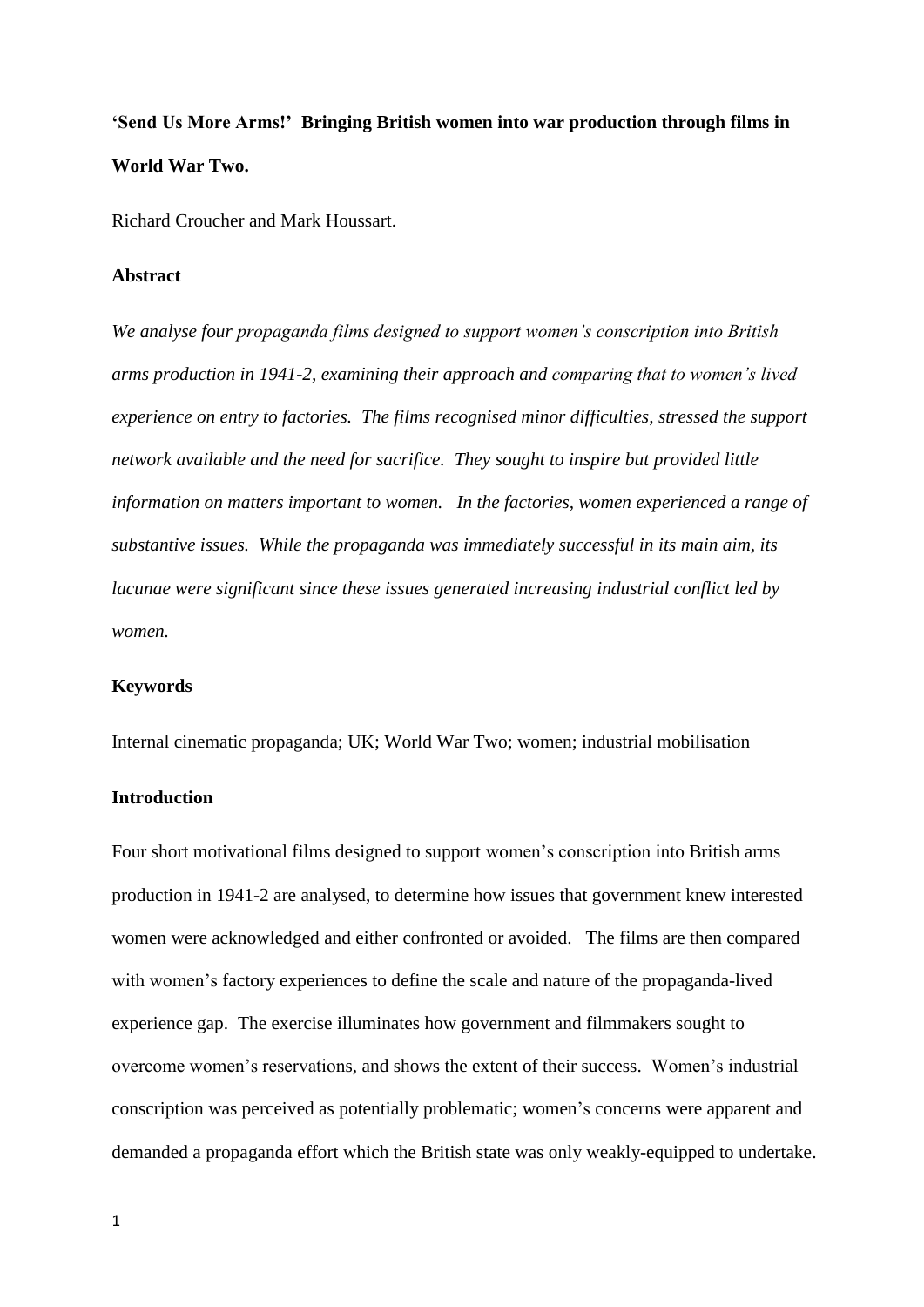**'Send Us More Arms!' Bringing British women into war production through films in World War Two.**

Richard Croucher and Mark Houssart.

#### **Abstract**

*We analyse four propaganda films designed to support women's conscription into British arms production in 1941-2, examining their approach and comparing that to women's lived experience on entry to factories. The films recognised minor difficulties, stressed the support network available and the need for sacrifice. They sought to inspire but provided little information on matters important to women. In the factories, women experienced a range of substantive issues. While the propaganda was immediately successful in its main aim, its lacunae were significant since these issues generated increasing industrial conflict led by women.* 

### **Keywords**

Internal cinematic propaganda; UK; World War Two; women; industrial mobilisation

## **Introduction**

Four short motivational films designed to support women's conscription into British arms production in 1941-2 are analysed, to determine how issues that government knew interested women were acknowledged and either confronted or avoided. The films are then compared with women's factory experiences to define the scale and nature of the propaganda-lived experience gap. The exercise illuminates how government and filmmakers sought to overcome women's reservations, and shows the extent of their success. Women's industrial conscription was perceived as potentially problematic; women's concerns were apparent and demanded a propaganda effort which the British state was only weakly-equipped to undertake.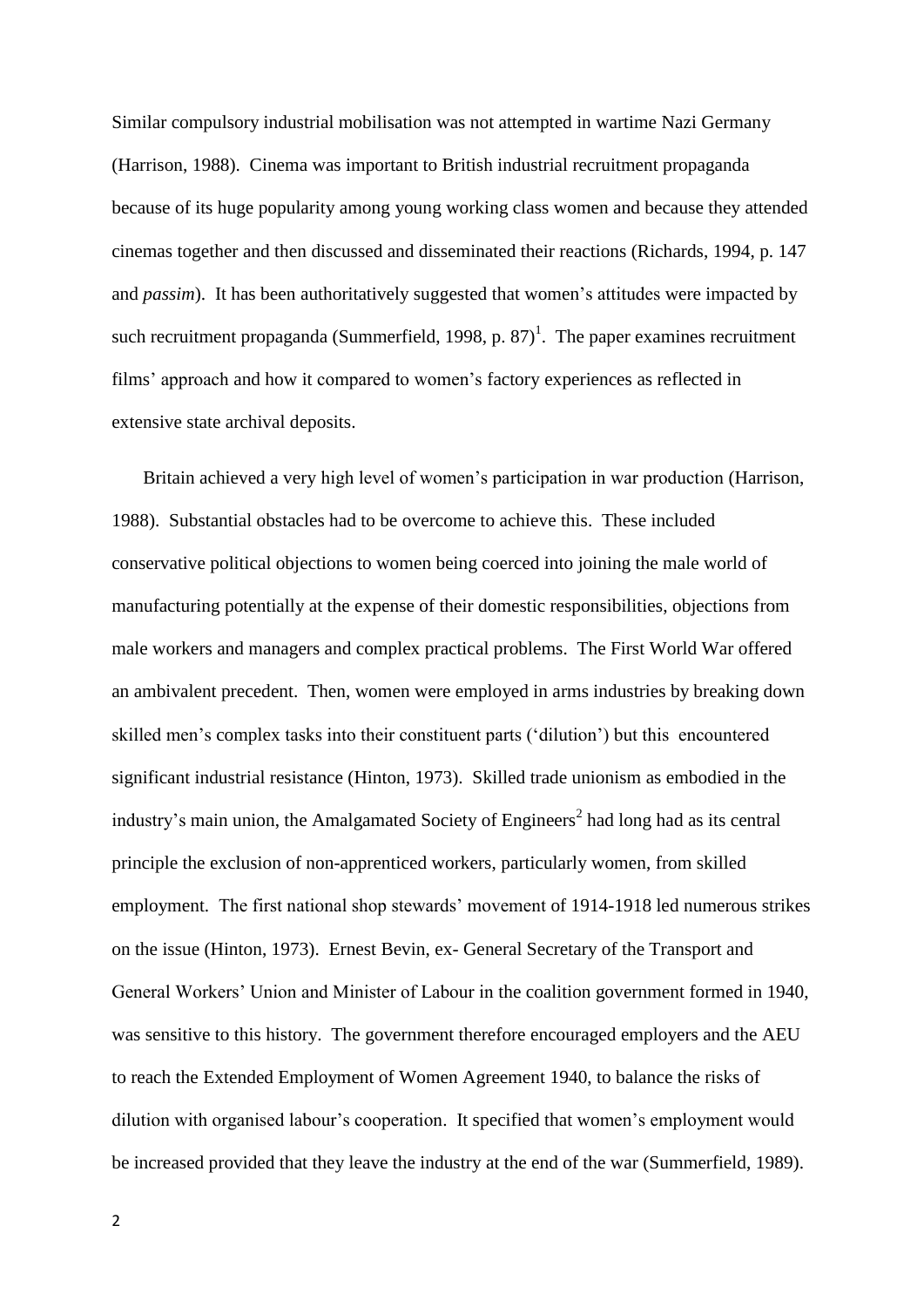Similar compulsory industrial mobilisation was not attempted in wartime Nazi Germany (Harrison, 1988). Cinema was important to British industrial recruitment propaganda because of its huge popularity among young working class women and because they attended cinemas together and then discussed and disseminated their reactions (Richards, 1994, p. 147 and *passim*). It has been authoritatively suggested that women's attitudes were impacted by such recruitment propaganda (Summerfield, 1998, p. 87)<sup>1</sup>. The paper examines recruitment films' approach and how it compared to women's factory experiences as reflected in extensive state archival deposits.

 Britain achieved a very high level of women's participation in war production (Harrison, 1988). Substantial obstacles had to be overcome to achieve this. These included conservative political objections to women being coerced into joining the male world of manufacturing potentially at the expense of their domestic responsibilities, objections from male workers and managers and complex practical problems. The First World War offered an ambivalent precedent. Then, women were employed in arms industries by breaking down skilled men's complex tasks into their constituent parts ('dilution') but this encountered significant industrial resistance (Hinton, 1973). Skilled trade unionism as embodied in the industry's main union, the Amalgamated Society of Engineers<sup>2</sup> had long had as its central principle the exclusion of non-apprenticed workers, particularly women, from skilled employment. The first national shop stewards' movement of 1914-1918 led numerous strikes on the issue (Hinton, 1973). Ernest Bevin, ex- General Secretary of the Transport and General Workers' Union and Minister of Labour in the coalition government formed in 1940, was sensitive to this history. The government therefore encouraged employers and the AEU to reach the Extended Employment of Women Agreement 1940, to balance the risks of dilution with organised labour's cooperation. It specified that women's employment would be increased provided that they leave the industry at the end of the war (Summerfield, 1989).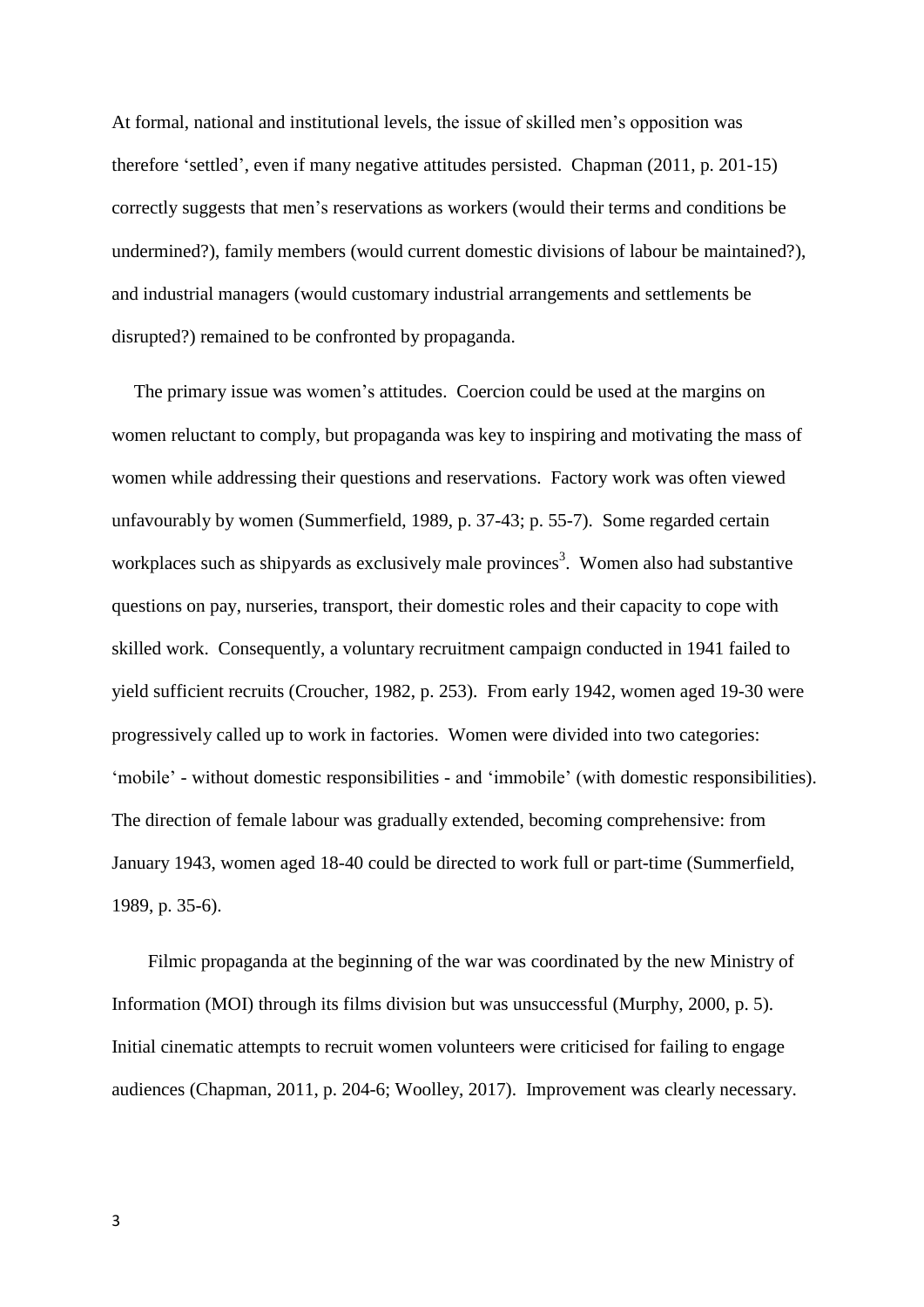At formal, national and institutional levels, the issue of skilled men's opposition was therefore 'settled', even if many negative attitudes persisted. Chapman (2011, p. 201-15) correctly suggests that men's reservations as workers (would their terms and conditions be undermined?), family members (would current domestic divisions of labour be maintained?), and industrial managers (would customary industrial arrangements and settlements be disrupted?) remained to be confronted by propaganda.

The primary issue was women's attitudes. Coercion could be used at the margins on women reluctant to comply, but propaganda was key to inspiring and motivating the mass of women while addressing their questions and reservations. Factory work was often viewed unfavourably by women (Summerfield, 1989, p. 37-43; p. 55-7). Some regarded certain workplaces such as shipyards as exclusively male provinces<sup>3</sup>. Women also had substantive questions on pay, nurseries, transport, their domestic roles and their capacity to cope with skilled work. Consequently, a voluntary recruitment campaign conducted in 1941 failed to yield sufficient recruits (Croucher, 1982, p. 253). From early 1942, women aged 19-30 were progressively called up to work in factories. Women were divided into two categories: 'mobile' - without domestic responsibilities - and 'immobile' (with domestic responsibilities). The direction of female labour was gradually extended, becoming comprehensive: from January 1943, women aged 18-40 could be directed to work full or part-time (Summerfield, 1989, p. 35-6).

 Filmic propaganda at the beginning of the war was coordinated by the new Ministry of Information (MOI) through its films division but was unsuccessful (Murphy, 2000, p. 5). Initial cinematic attempts to recruit women volunteers were criticised for failing to engage audiences (Chapman, 2011, p. 204-6; Woolley, 2017). Improvement was clearly necessary.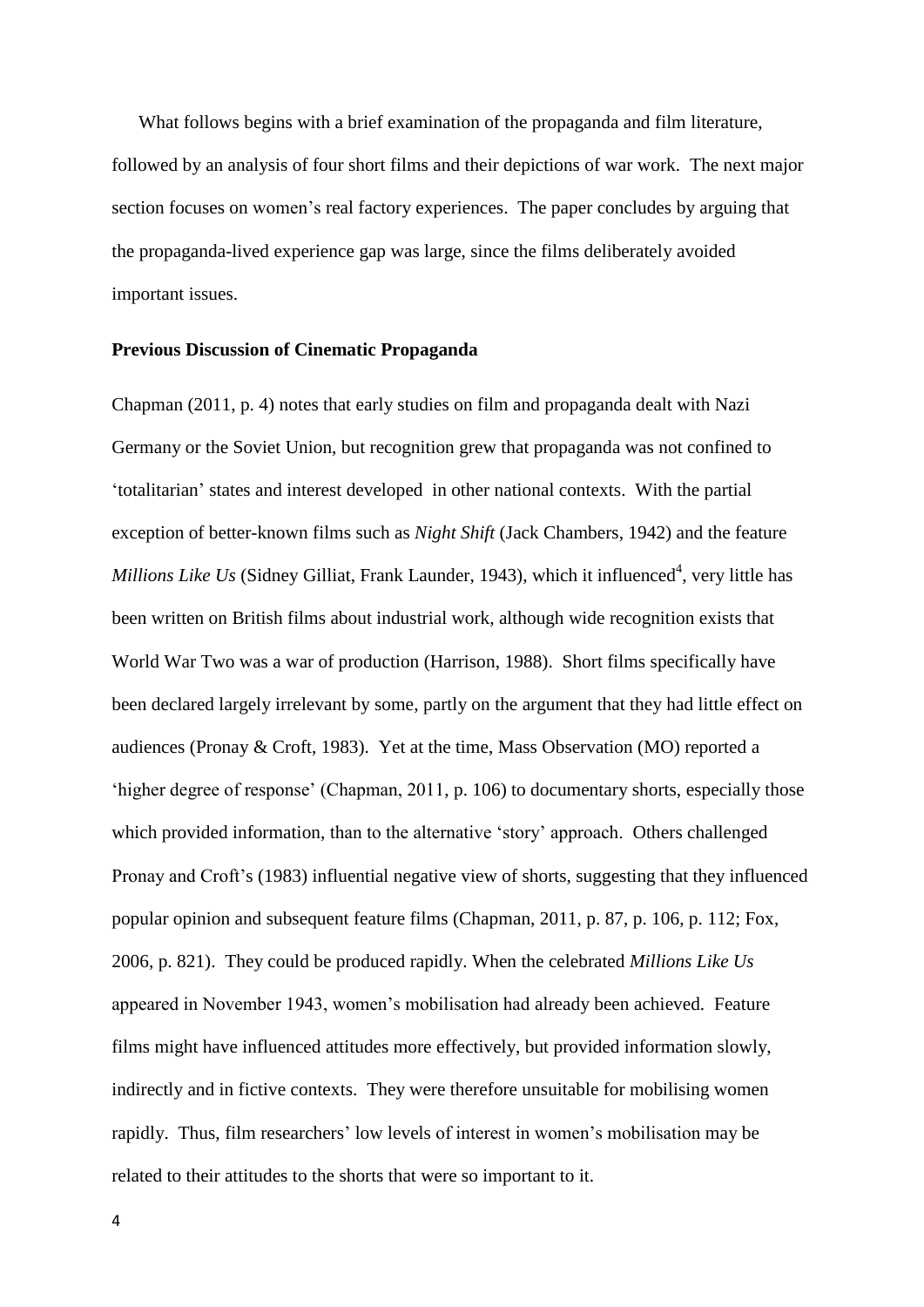What follows begins with a brief examination of the propaganda and film literature, followed by an analysis of four short films and their depictions of war work. The next major section focuses on women's real factory experiences. The paper concludes by arguing that the propaganda-lived experience gap was large, since the films deliberately avoided important issues.

#### **Previous Discussion of Cinematic Propaganda**

Chapman (2011, p. 4) notes that early studies on film and propaganda dealt with Nazi Germany or the Soviet Union, but recognition grew that propaganda was not confined to 'totalitarian' states and interest developed in other national contexts. With the partial exception of better-known films such as *Night Shift* (Jack Chambers, 1942) and the feature *Millions Like Us* (Sidney Gilliat, Frank Launder, 1943), which it influenced<sup>4</sup>, very little has been written on British films about industrial work, although wide recognition exists that World War Two was a war of production (Harrison, 1988). Short films specifically have been declared largely irrelevant by some, partly on the argument that they had little effect on audiences (Pronay & Croft, 1983). Yet at the time, Mass Observation (MO) reported a 'higher degree of response' (Chapman, 2011, p. 106) to documentary shorts, especially those which provided information, than to the alternative 'story' approach. Others challenged Pronay and Croft's (1983) influential negative view of shorts, suggesting that they influenced popular opinion and subsequent feature films (Chapman, 2011, p. 87, p. 106, p. 112; Fox, 2006, p. 821). They could be produced rapidly. When the celebrated *Millions Like Us* appeared in November 1943, women's mobilisation had already been achieved. Feature films might have influenced attitudes more effectively, but provided information slowly, indirectly and in fictive contexts. They were therefore unsuitable for mobilising women rapidly. Thus, film researchers' low levels of interest in women's mobilisation may be related to their attitudes to the shorts that were so important to it.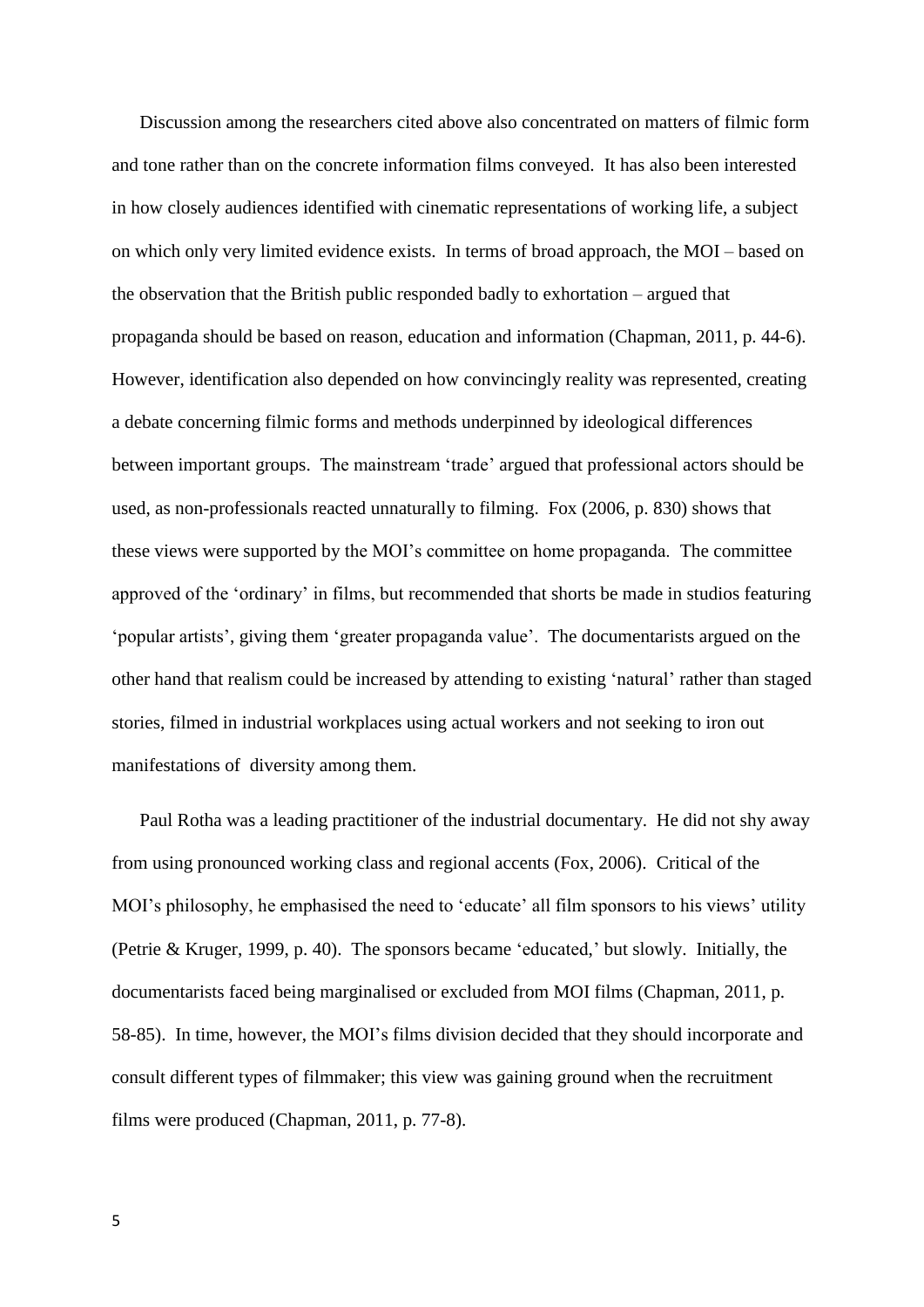Discussion among the researchers cited above also concentrated on matters of filmic form and tone rather than on the concrete information films conveyed. It has also been interested in how closely audiences identified with cinematic representations of working life, a subject on which only very limited evidence exists. In terms of broad approach, the MOI – based on the observation that the British public responded badly to exhortation – argued that propaganda should be based on reason, education and information (Chapman, 2011, p. 44-6). However, identification also depended on how convincingly reality was represented, creating a debate concerning filmic forms and methods underpinned by ideological differences between important groups. The mainstream 'trade' argued that professional actors should be used, as non-professionals reacted unnaturally to filming. Fox (2006, p. 830) shows that these views were supported by the MOI's committee on home propaganda. The committee approved of the 'ordinary' in films, but recommended that shorts be made in studios featuring 'popular artists', giving them 'greater propaganda value'.The documentarists argued on the other hand that realism could be increased by attending to existing 'natural' rather than staged stories, filmed in industrial workplaces using actual workers and not seeking to iron out manifestations of diversity among them.

 Paul Rotha was a leading practitioner of the industrial documentary. He did not shy away from using pronounced working class and regional accents (Fox, 2006). Critical of the MOI's philosophy, he emphasised the need to 'educate' all film sponsors to his views' utility (Petrie & Kruger, 1999, p. 40). The sponsors became 'educated,' but slowly. Initially, the documentarists faced being marginalised or excluded from MOI films (Chapman, 2011, p. 58-85). In time, however, the MOI's films division decided that they should incorporate and consult different types of filmmaker; this view was gaining ground when the recruitment films were produced (Chapman, 2011, p. 77-8).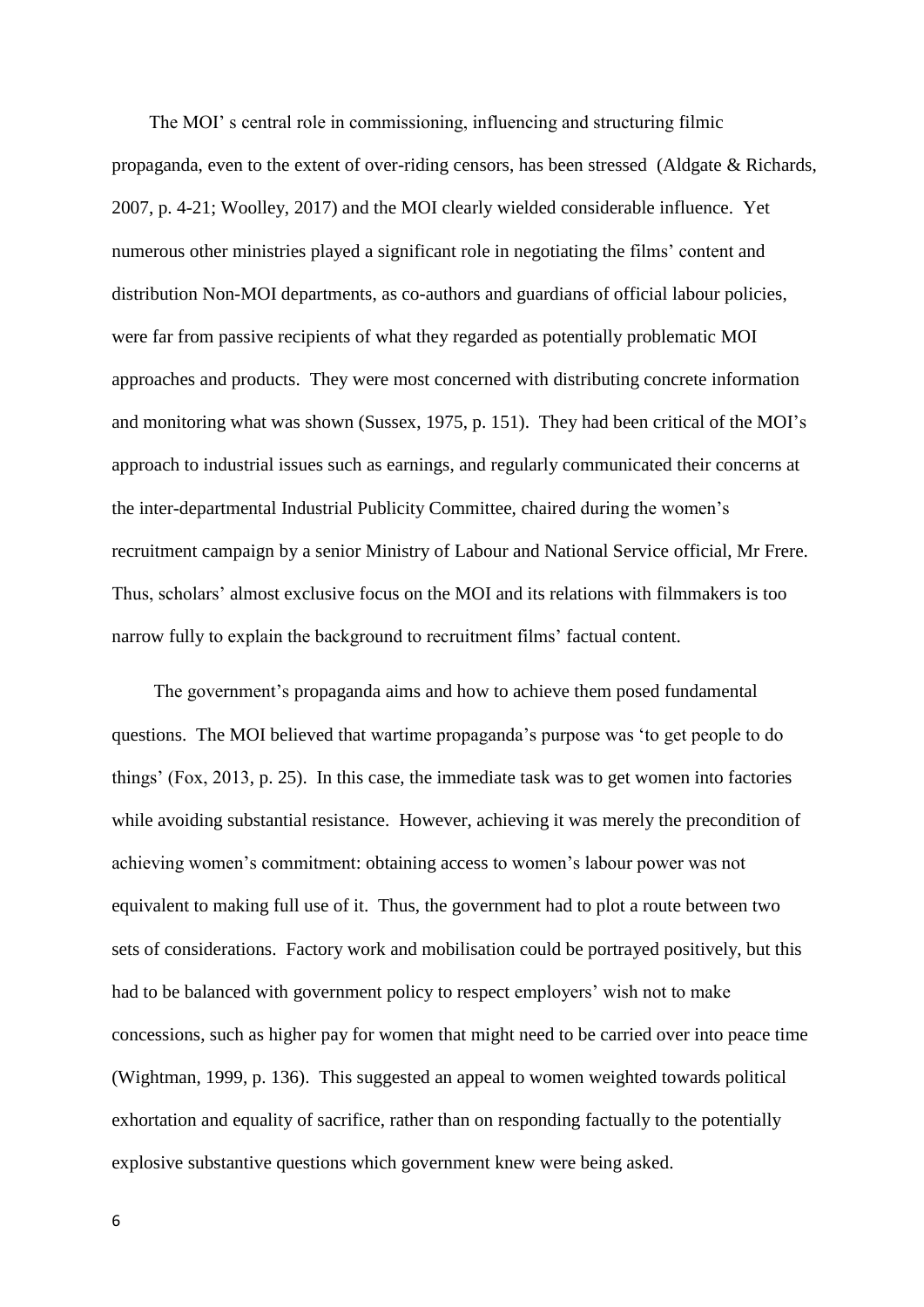The MOI' s central role in commissioning, influencing and structuring filmic propaganda, even to the extent of over-riding censors, has been stressed (Aldgate & Richards, 2007, p. 4-21; Woolley, 2017) and the MOI clearly wielded considerable influence. Yet numerous other ministries played a significant role in negotiating the films' content and distribution Non-MOI departments, as co-authors and guardians of official labour policies, were far from passive recipients of what they regarded as potentially problematic MOI approaches and products. They were most concerned with distributing concrete information and monitoring what was shown (Sussex, 1975, p. 151). They had been critical of the MOI's approach to industrial issues such as earnings, and regularly communicated their concerns at the inter-departmental Industrial Publicity Committee, chaired during the women's recruitment campaign by a senior Ministry of Labour and National Service official, Mr Frere. Thus, scholars' almost exclusive focus on the MOI and its relations with filmmakers is too narrow fully to explain the background to recruitment films' factual content.

 The government's propaganda aims and how to achieve them posed fundamental questions. The MOI believed that wartime propaganda's purpose was 'to get people to do things' (Fox, 2013, p. 25). In this case, the immediate task was to get women into factories while avoiding substantial resistance. However, achieving it was merely the precondition of achieving women's commitment: obtaining access to women's labour power was not equivalent to making full use of it. Thus, the government had to plot a route between two sets of considerations. Factory work and mobilisation could be portrayed positively, but this had to be balanced with government policy to respect employers' wish not to make concessions, such as higher pay for women that might need to be carried over into peace time (Wightman, 1999, p. 136). This suggested an appeal to women weighted towards political exhortation and equality of sacrifice, rather than on responding factually to the potentially explosive substantive questions which government knew were being asked.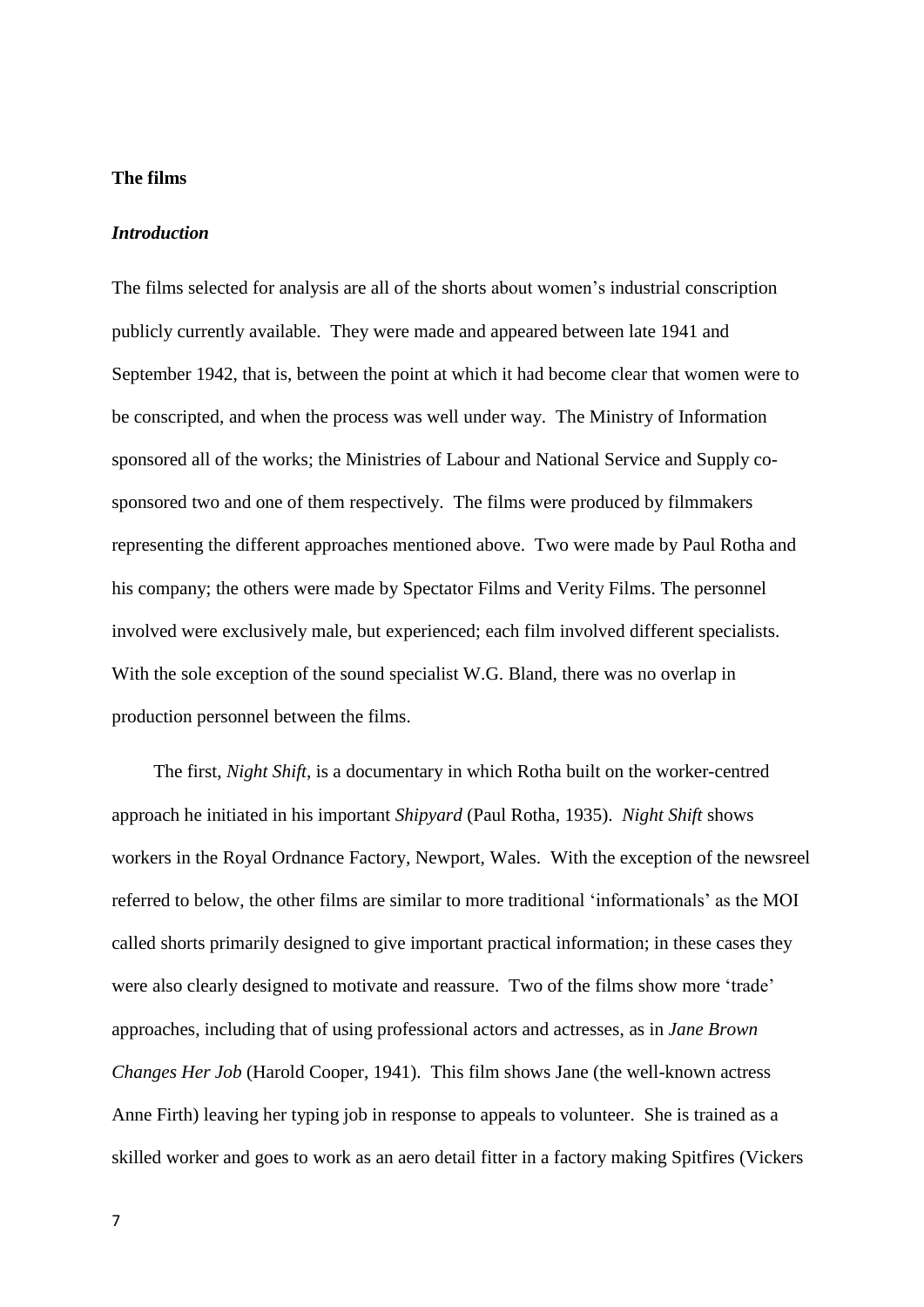## **The films**

#### *Introduction*

The films selected for analysis are all of the shorts about women's industrial conscription publicly currently available. They were made and appeared between late 1941 and September 1942, that is, between the point at which it had become clear that women were to be conscripted, and when the process was well under way. The Ministry of Information sponsored all of the works; the Ministries of Labour and National Service and Supply cosponsored two and one of them respectively. The films were produced by filmmakers representing the different approaches mentioned above. Two were made by Paul Rotha and his company; the others were made by Spectator Films and Verity Films. The personnel involved were exclusively male, but experienced; each film involved different specialists. With the sole exception of the sound specialist W.G. Bland, there was no overlap in production personnel between the films.

 The first, *Night Shift*, is a documentary in which Rotha built on the worker-centred approach he initiated in his important *Shipyard* (Paul Rotha, 1935). *Night Shift* shows workers in the Royal Ordnance Factory, Newport, Wales. With the exception of the newsreel referred to below, the other films are similar to more traditional 'informationals' as the MOI called shorts primarily designed to give important practical information; in these cases they were also clearly designed to motivate and reassure. Two of the films show more 'trade' approaches, including that of using professional actors and actresses, as in *Jane Brown Changes Her Job* (Harold Cooper, 1941). This film shows Jane (the well-known actress Anne Firth) leaving her typing job in response to appeals to volunteer. She is trained as a skilled worker and goes to work as an aero detail fitter in a factory making Spitfires (Vickers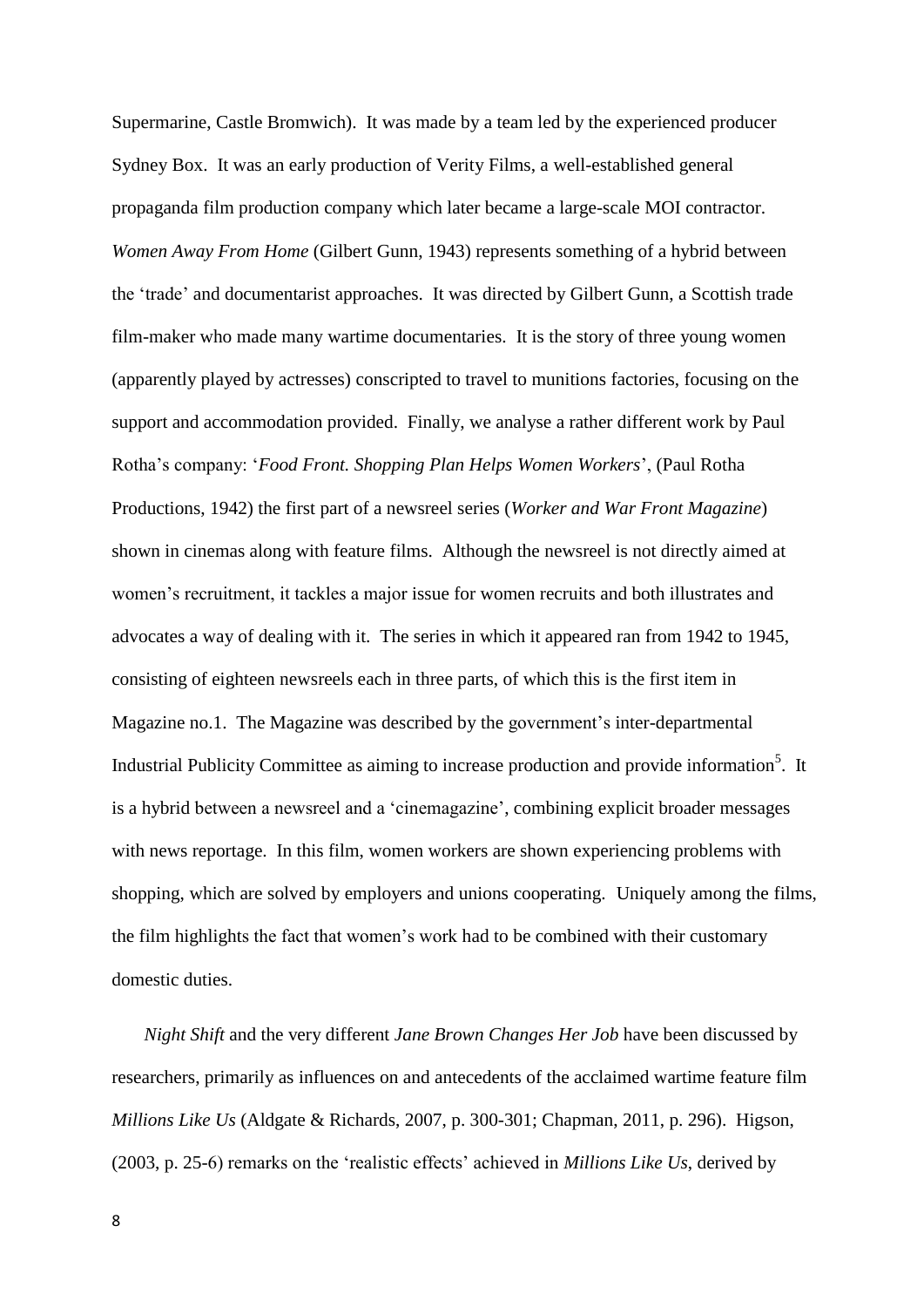Supermarine, Castle Bromwich). It was made by a team led by the experienced producer Sydney Box. It was an early production of Verity Films, a well-established general propaganda film production company which later became a large-scale MOI contractor. *Women Away From Home* (Gilbert Gunn, 1943) represents something of a hybrid between the 'trade' and documentarist approaches. It was directed by Gilbert Gunn, a Scottish trade film-maker who made many wartime documentaries. It is the story of three young women (apparently played by actresses) conscripted to travel to munitions factories, focusing on the support and accommodation provided. Finally, we analyse a rather different work by Paul Rotha's company: '*Food Front. Shopping Plan Helps Women Workers*', (Paul Rotha Productions, 1942) the first part of a newsreel series (*Worker and War Front Magazine*) shown in cinemas along with feature films. Although the newsreel is not directly aimed at women's recruitment, it tackles a major issue for women recruits and both illustrates and advocates a way of dealing with it. The series in which it appeared ran from 1942 to 1945, consisting of eighteen newsreels each in three parts, of which this is the first item in Magazine no.1. The Magazine was described by the government's inter-departmental Industrial Publicity Committee as aiming to increase production and provide information<sup>5</sup>. It is a hybrid between a newsreel and a 'cinemagazine', combining explicit broader messages with news reportage. In this film, women workers are shown experiencing problems with shopping, which are solved by employers and unions cooperating. Uniquely among the films, the film highlights the fact that women's work had to be combined with their customary domestic duties.

 *Night Shift* and the very different *Jane Brown Changes Her Job* have been discussed by researchers, primarily as influences on and antecedents of the acclaimed wartime feature film *Millions Like Us* (Aldgate & Richards, 2007, p. 300-301; Chapman, 2011, p. 296). Higson, (2003, p. 25-6) remarks on the 'realistic effects' achieved in *Millions Like Us*, derived by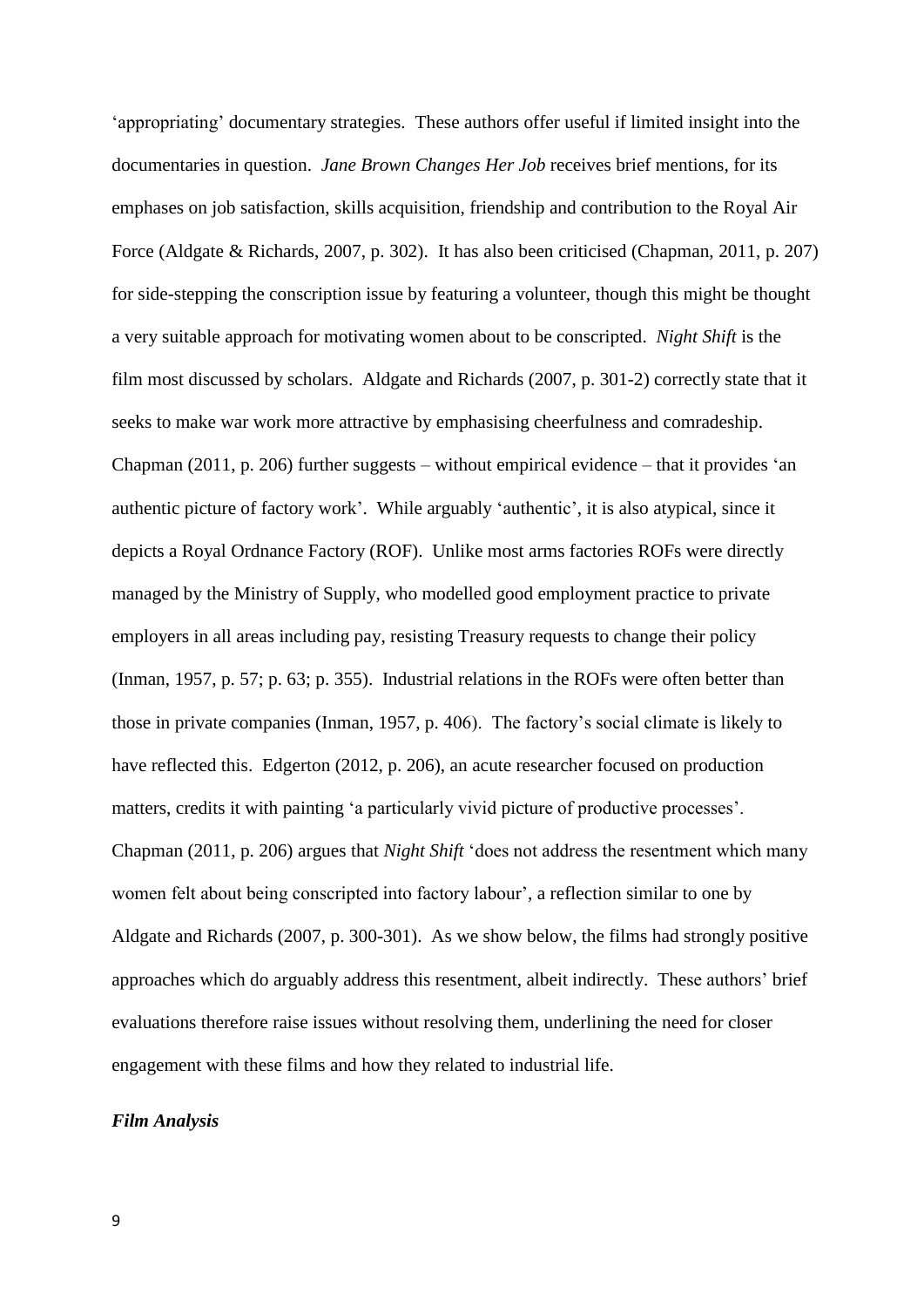'appropriating' documentary strategies. These authors offer useful if limited insight into the documentaries in question. *Jane Brown Changes Her Job* receives brief mentions, for its emphases on job satisfaction, skills acquisition, friendship and contribution to the Royal Air Force (Aldgate & Richards, 2007, p. 302). It has also been criticised (Chapman, 2011, p. 207) for side-stepping the conscription issue by featuring a volunteer, though this might be thought a very suitable approach for motivating women about to be conscripted. *Night Shift* is the film most discussed by scholars. Aldgate and Richards (2007, p. 301-2) correctly state that it seeks to make war work more attractive by emphasising cheerfulness and comradeship. Chapman (2011, p. 206) further suggests – without empirical evidence – that it provides 'an authentic picture of factory work'. While arguably 'authentic', it is also atypical, since it depicts a Royal Ordnance Factory (ROF). Unlike most arms factories ROFs were directly managed by the Ministry of Supply, who modelled good employment practice to private employers in all areas including pay, resisting Treasury requests to change their policy (Inman, 1957, p. 57; p. 63; p. 355). Industrial relations in the ROFs were often better than those in private companies (Inman, 1957, p. 406). The factory's social climate is likely to have reflected this. Edgerton (2012, p. 206), an acute researcher focused on production matters, credits it with painting 'a particularly vivid picture of productive processes'. Chapman (2011, p. 206) argues that *Night Shift* 'does not address the resentment which many women felt about being conscripted into factory labour', a reflection similar to one by Aldgate and Richards (2007, p. 300-301). As we show below, the films had strongly positive approaches which do arguably address this resentment, albeit indirectly. These authors' brief evaluations therefore raise issues without resolving them, underlining the need for closer engagement with these films and how they related to industrial life.

### *Film Analysis*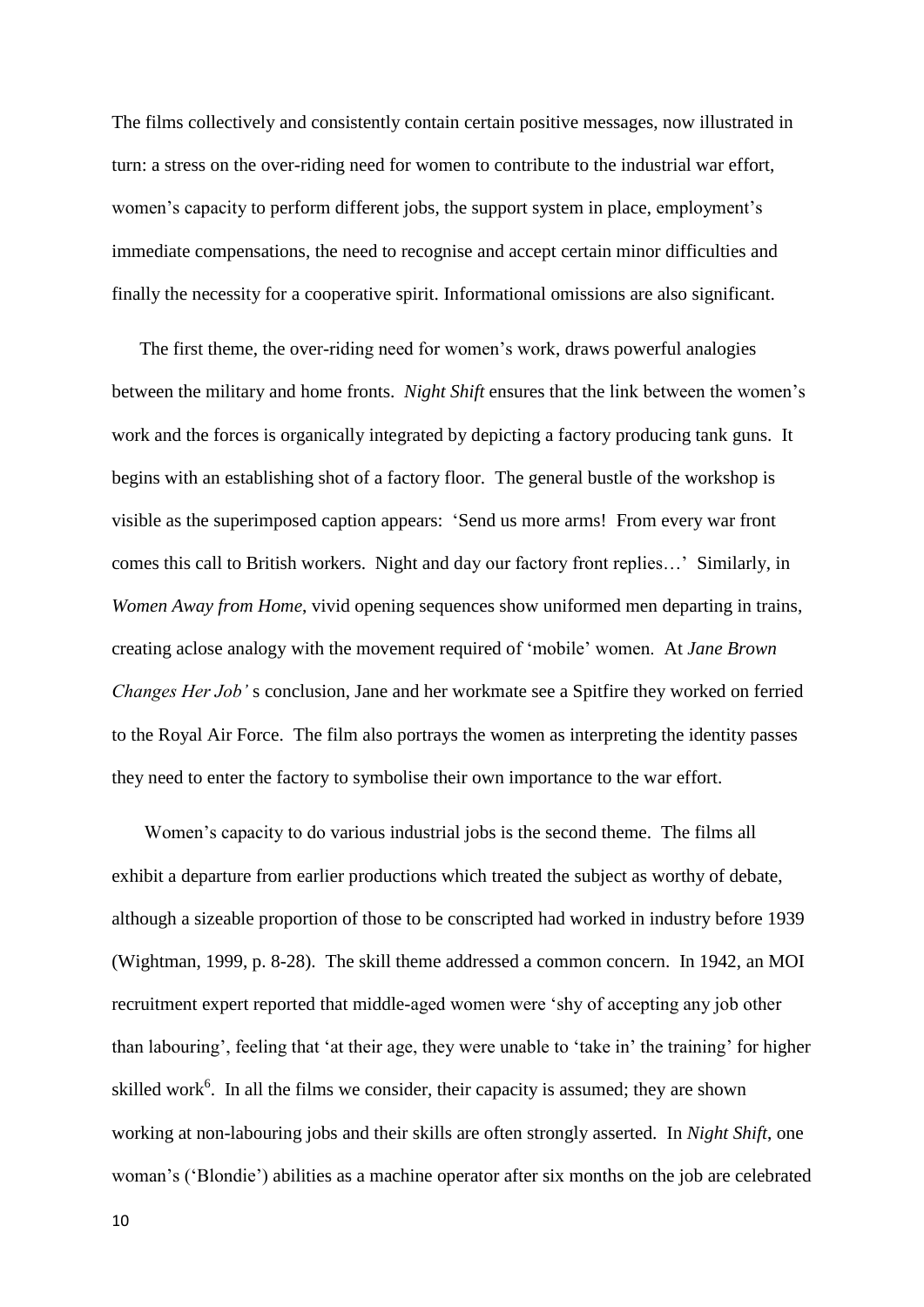The films collectively and consistently contain certain positive messages, now illustrated in turn: a stress on the over-riding need for women to contribute to the industrial war effort, women's capacity to perform different jobs, the support system in place, employment's immediate compensations, the need to recognise and accept certain minor difficulties and finally the necessity for a cooperative spirit. Informational omissions are also significant.

 The first theme, the over-riding need for women's work, draws powerful analogies between the military and home fronts. *Night Shift* ensures that the link between the women's work and the forces is organically integrated by depicting a factory producing tank guns. It begins with an establishing shot of a factory floor. The general bustle of the workshop is visible as the superimposed caption appears: 'Send us more arms! From every war front comes this call to British workers. Night and day our factory front replies…' Similarly, in *Women Away from Home*, vivid opening sequences show uniformed men departing in trains, creating aclose analogy with the movement required of 'mobile' women. At *Jane Brown Changes Her Job'* s conclusion, Jane and her workmate see a Spitfire they worked on ferried to the Royal Air Force. The film also portrays the women as interpreting the identity passes they need to enter the factory to symbolise their own importance to the war effort.

 Women's capacity to do various industrial jobs is the second theme. The films all exhibit a departure from earlier productions which treated the subject as worthy of debate, although a sizeable proportion of those to be conscripted had worked in industry before 1939 (Wightman, 1999, p. 8-28). The skill theme addressed a common concern. In 1942, an MOI recruitment expert reported that middle-aged women were 'shy of accepting any job other than labouring', feeling that 'at their age, they were unable to 'take in' the training' for higher skilled work<sup>6</sup>. In all the films we consider, their capacity is assumed; they are shown working at non-labouring jobs and their skills are often strongly asserted. In *Night Shift*, one woman's ('Blondie') abilities as a machine operator after six months on the job are celebrated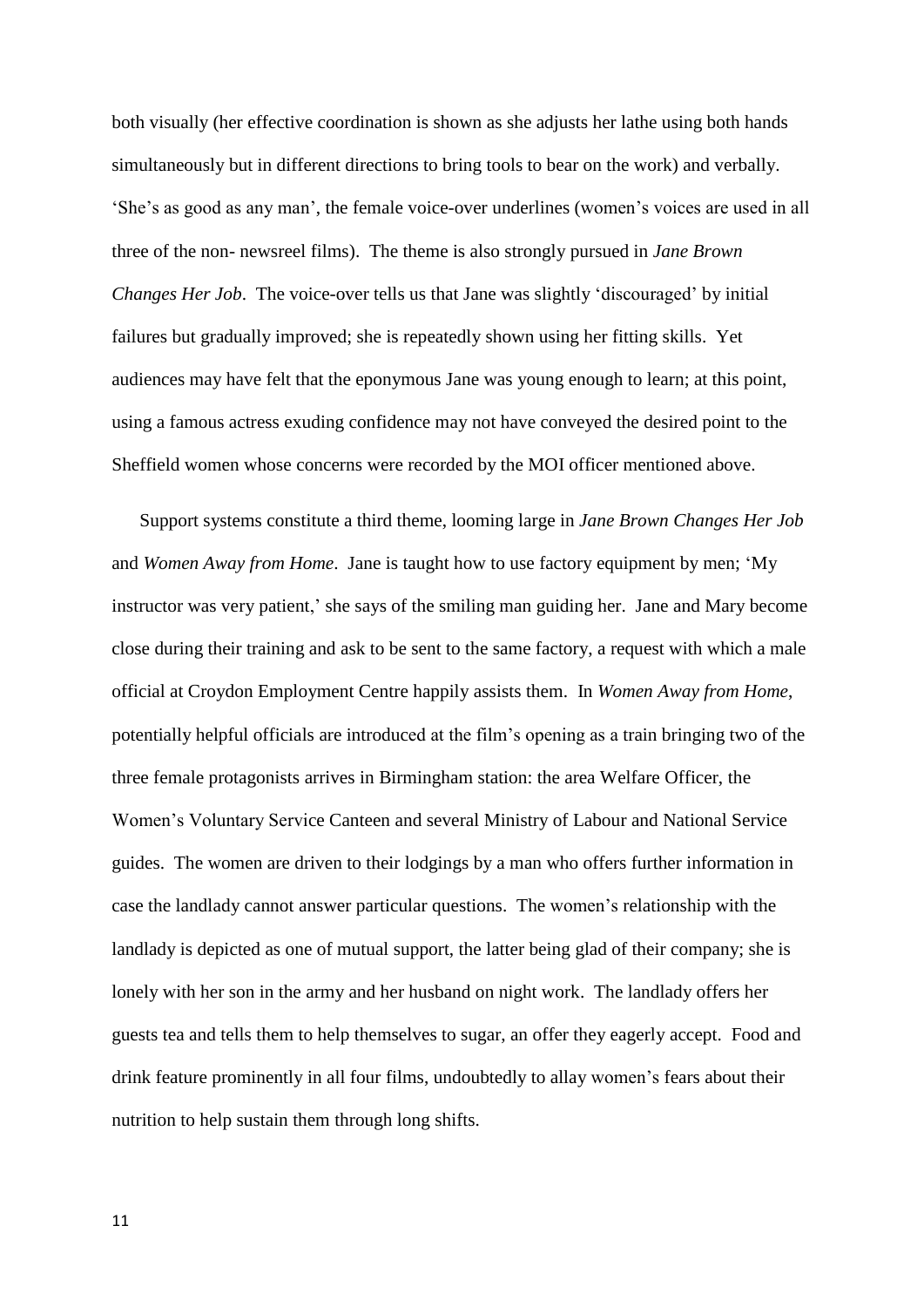both visually (her effective coordination is shown as she adjusts her lathe using both hands simultaneously but in different directions to bring tools to bear on the work) and verbally. 'She's as good as any man', the female voice-over underlines (women's voices are used in all three of the non- newsreel films). The theme is also strongly pursued in *Jane Brown Changes Her Job*. The voice-over tells us that Jane was slightly 'discouraged' by initial failures but gradually improved; she is repeatedly shown using her fitting skills. Yet audiences may have felt that the eponymous Jane was young enough to learn; at this point, using a famous actress exuding confidence may not have conveyed the desired point to the Sheffield women whose concerns were recorded by the MOI officer mentioned above.

 Support systems constitute a third theme, looming large in *Jane Brown Changes Her Job* and *Women Away from Home*. Jane is taught how to use factory equipment by men; 'My instructor was very patient,' she says of the smiling man guiding her. Jane and Mary become close during their training and ask to be sent to the same factory, a request with which a male official at Croydon Employment Centre happily assists them. In *Women Away from Home*, potentially helpful officials are introduced at the film's opening as a train bringing two of the three female protagonists arrives in Birmingham station: the area Welfare Officer, the Women's Voluntary Service Canteen and several Ministry of Labour and National Service guides. The women are driven to their lodgings by a man who offers further information in case the landlady cannot answer particular questions. The women's relationship with the landlady is depicted as one of mutual support, the latter being glad of their company; she is lonely with her son in the army and her husband on night work. The landlady offers her guests tea and tells them to help themselves to sugar, an offer they eagerly accept. Food and drink feature prominently in all four films, undoubtedly to allay women's fears about their nutrition to help sustain them through long shifts.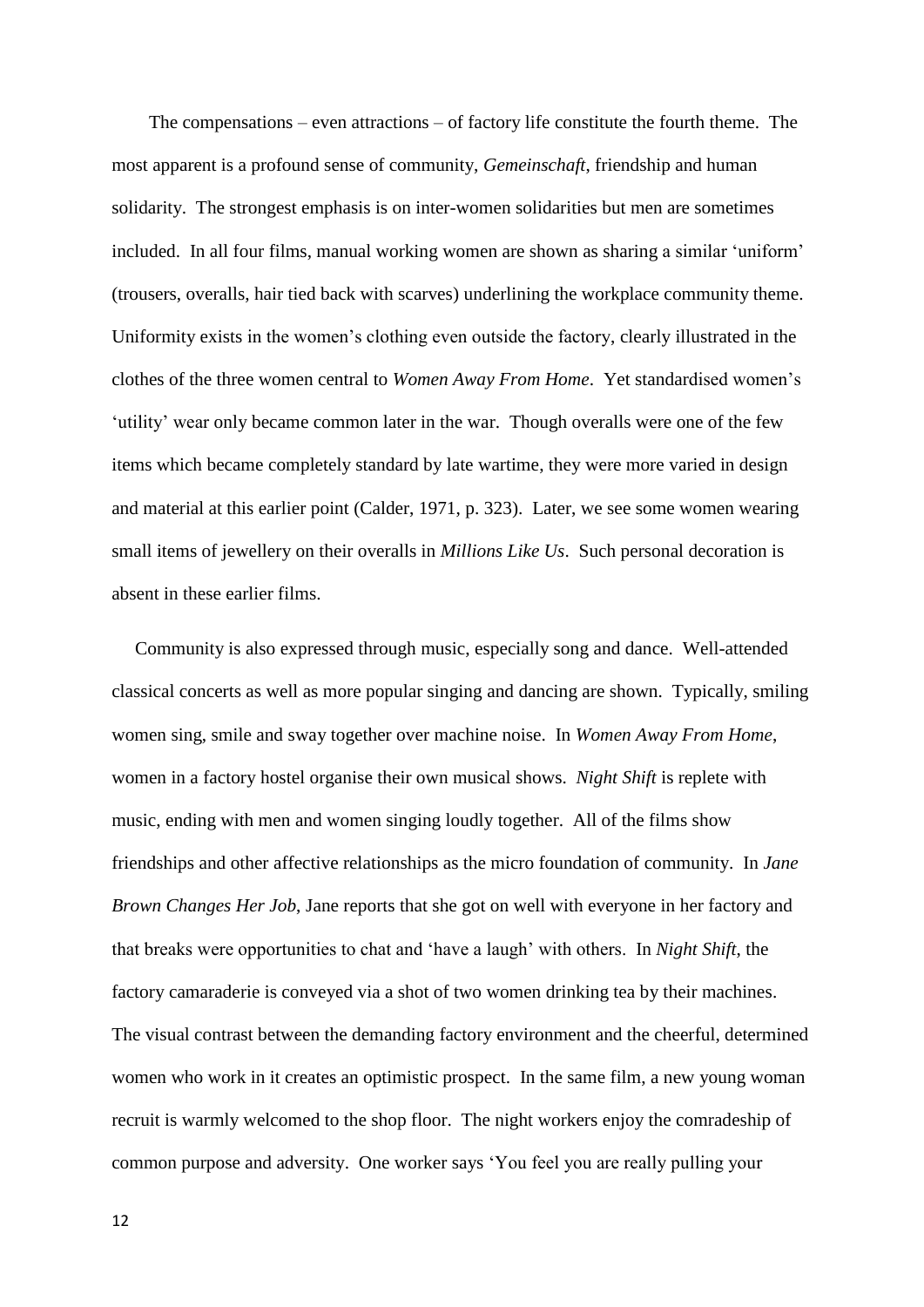The compensations – even attractions – of factory life constitute the fourth theme. The most apparent is a profound sense of community, *Gemeinschaft*, friendship and human solidarity. The strongest emphasis is on inter-women solidarities but men are sometimes included. In all four films, manual working women are shown as sharing a similar 'uniform' (trousers, overalls, hair tied back with scarves) underlining the workplace community theme. Uniformity exists in the women's clothing even outside the factory, clearly illustrated in the clothes of the three women central to *Women Away From Home*. Yet standardised women's 'utility' wear only became common later in the war. Though overalls were one of the few items which became completely standard by late wartime, they were more varied in design and material at this earlier point (Calder, 1971, p. 323). Later, we see some women wearing small items of jewellery on their overalls in *Millions Like Us*. Such personal decoration is absent in these earlier films.

 Community is also expressed through music, especially song and dance. Well-attended classical concerts as well as more popular singing and dancing are shown. Typically, smiling women sing, smile and sway together over machine noise. In *Women Away From Home*, women in a factory hostel organise their own musical shows. *Night Shift* is replete with music, ending with men and women singing loudly together. All of the films show friendships and other affective relationships as the micro foundation of community. In *Jane Brown Changes Her Job*, Jane reports that she got on well with everyone in her factory and that breaks were opportunities to chat and 'have a laugh' with others. In *Night Shift*, the factory camaraderie is conveyed via a shot of two women drinking tea by their machines. The visual contrast between the demanding factory environment and the cheerful, determined women who work in it creates an optimistic prospect. In the same film, a new young woman recruit is warmly welcomed to the shop floor. The night workers enjoy the comradeship of common purpose and adversity. One worker says 'You feel you are really pulling your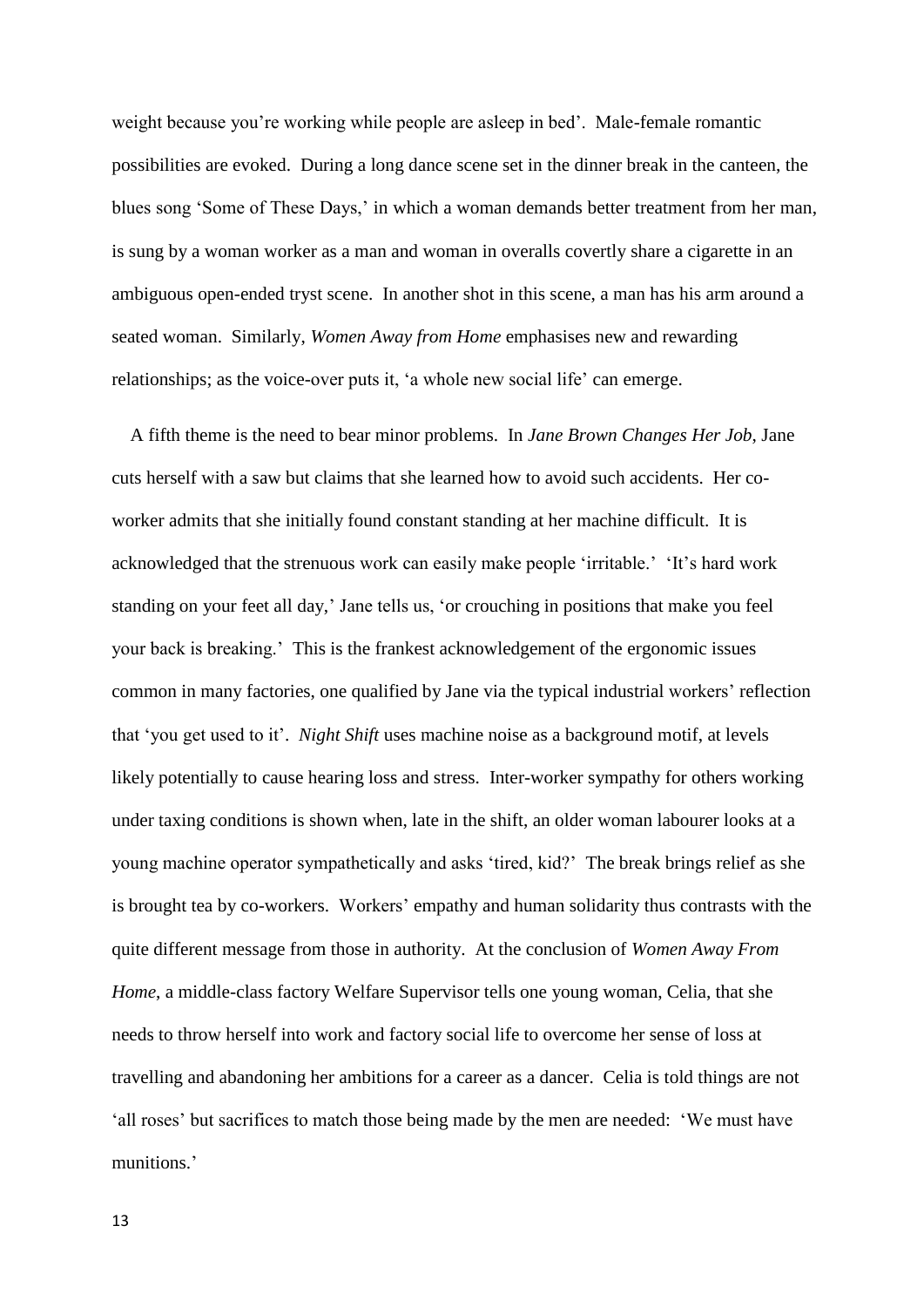weight because you're working while people are asleep in bed'. Male-female romantic possibilities are evoked. During a long dance scene set in the dinner break in the canteen, the blues song 'Some of These Days,' in which a woman demands better treatment from her man, is sung by a woman worker as a man and woman in overalls covertly share a cigarette in an ambiguous open-ended tryst scene. In another shot in this scene, a man has his arm around a seated woman. Similarly, *Women Away from Home* emphasises new and rewarding relationships; as the voice-over puts it, 'a whole new social life' can emerge.

 A fifth theme is the need to bear minor problems. In *Jane Brown Changes Her Job*, Jane cuts herself with a saw but claims that she learned how to avoid such accidents. Her coworker admits that she initially found constant standing at her machine difficult. It is acknowledged that the strenuous work can easily make people 'irritable.' 'It's hard work standing on your feet all day,' Jane tells us, 'or crouching in positions that make you feel your back is breaking.' This is the frankest acknowledgement of the ergonomic issues common in many factories, one qualified by Jane via the typical industrial workers' reflection that 'you get used to it'. *Night Shift* uses machine noise as a background motif, at levels likely potentially to cause hearing loss and stress. Inter-worker sympathy for others working under taxing conditions is shown when, late in the shift, an older woman labourer looks at a young machine operator sympathetically and asks 'tired, kid?' The break brings relief as she is brought tea by co-workers. Workers' empathy and human solidarity thus contrasts with the quite different message from those in authority. At the conclusion of *Women Away From Home*, a middle-class factory Welfare Supervisor tells one young woman, Celia, that she needs to throw herself into work and factory social life to overcome her sense of loss at travelling and abandoning her ambitions for a career as a dancer. Celia is told things are not 'all roses' but sacrifices to match those being made by the men are needed: 'We must have munitions.'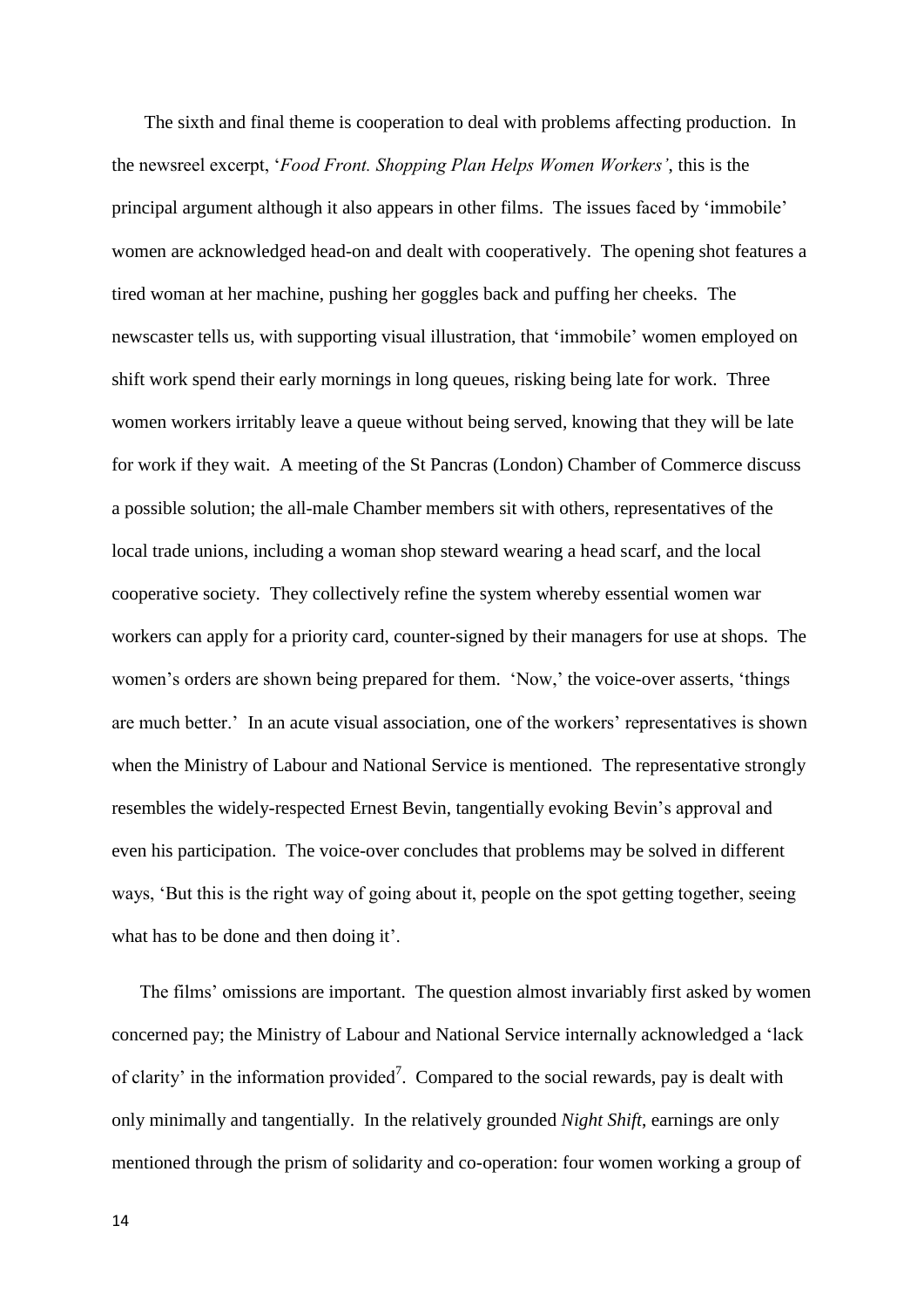The sixth and final theme is cooperation to deal with problems affecting production. In the newsreel excerpt, '*Food Front. Shopping Plan Helps Women Workers'*, this is the principal argument although it also appears in other films. The issues faced by 'immobile' women are acknowledged head-on and dealt with cooperatively. The opening shot features a tired woman at her machine, pushing her goggles back and puffing her cheeks. The newscaster tells us, with supporting visual illustration, that 'immobile' women employed on shift work spend their early mornings in long queues, risking being late for work. Three women workers irritably leave a queue without being served, knowing that they will be late for work if they wait. A meeting of the St Pancras (London) Chamber of Commerce discuss a possible solution; the all-male Chamber members sit with others, representatives of the local trade unions, including a woman shop steward wearing a head scarf, and the local cooperative society. They collectively refine the system whereby essential women war workers can apply for a priority card, counter-signed by their managers for use at shops. The women's orders are shown being prepared for them. 'Now,' the voice-over asserts, 'things are much better.' In an acute visual association, one of the workers' representatives is shown when the Ministry of Labour and National Service is mentioned. The representative strongly resembles the widely-respected Ernest Bevin, tangentially evoking Bevin's approval and even his participation. The voice-over concludes that problems may be solved in different ways, 'But this is the right way of going about it, people on the spot getting together, seeing what has to be done and then doing it'.

 The films' omissions are important. The question almost invariably first asked by women concerned pay; the Ministry of Labour and National Service internally acknowledged a 'lack of clarity' in the information provided<sup>7</sup>. Compared to the social rewards, pay is dealt with only minimally and tangentially. In the relatively grounded *Night Shift*, earnings are only mentioned through the prism of solidarity and co-operation: four women working a group of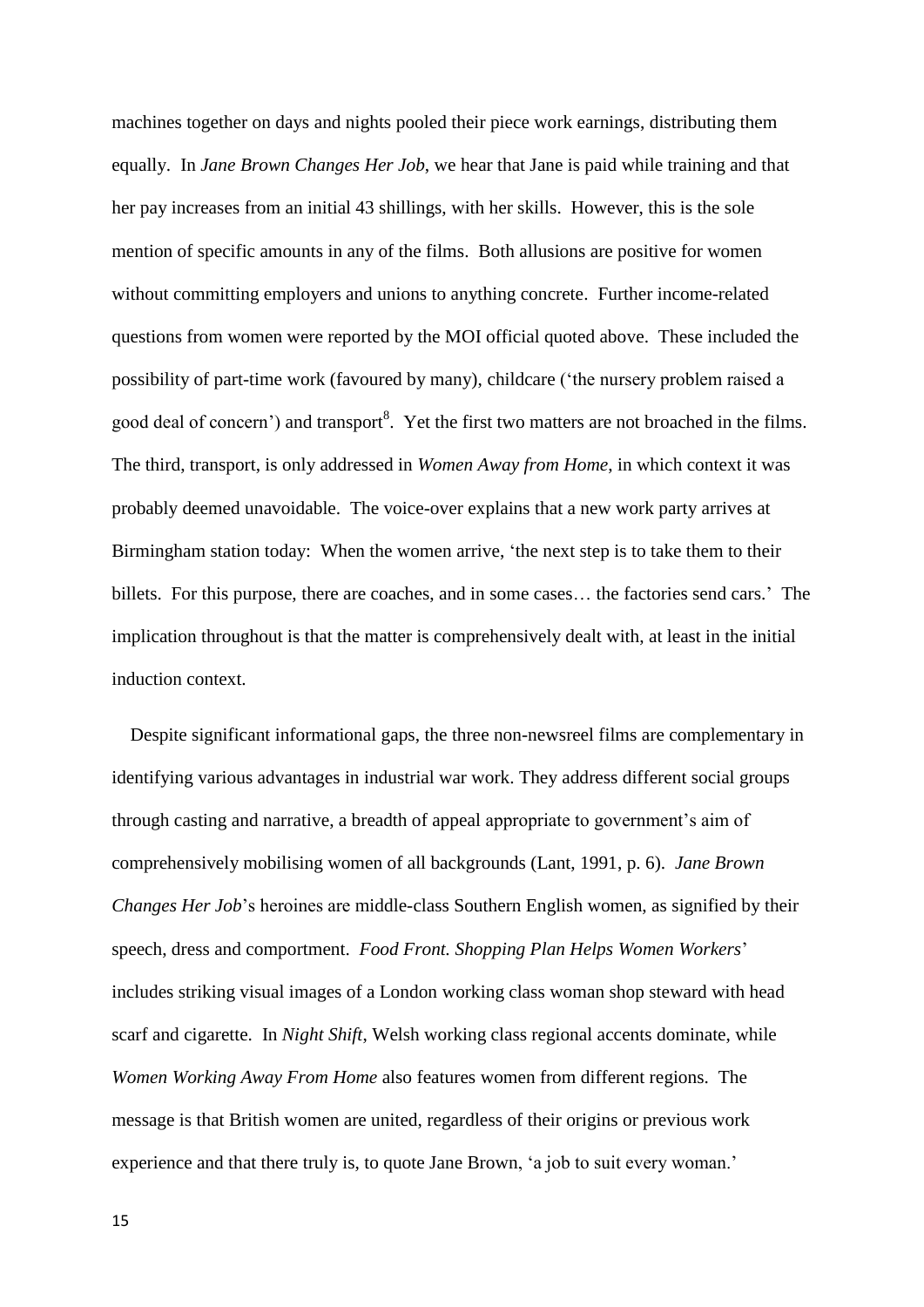machines together on days and nights pooled their piece work earnings, distributing them equally. In *Jane Brown Changes Her Job*, we hear that Jane is paid while training and that her pay increases from an initial 43 shillings, with her skills. However, this is the sole mention of specific amounts in any of the films. Both allusions are positive for women without committing employers and unions to anything concrete. Further income-related questions from women were reported by the MOI official quoted above. These included the possibility of part-time work (favoured by many), childcare ('the nursery problem raised a good deal of concern') and transport<sup>8</sup>. Yet the first two matters are not broached in the films. The third, transport, is only addressed in *Women Away from Home*, in which context it was probably deemed unavoidable. The voice-over explains that a new work party arrives at Birmingham station today: When the women arrive, 'the next step is to take them to their billets. For this purpose, there are coaches, and in some cases… the factories send cars.' The implication throughout is that the matter is comprehensively dealt with, at least in the initial induction context.

 Despite significant informational gaps, the three non-newsreel films are complementary in identifying various advantages in industrial war work. They address different social groups through casting and narrative, a breadth of appeal appropriate to government's aim of comprehensively mobilising women of all backgrounds (Lant, 1991, p. 6). *Jane Brown Changes Her Job*'s heroines are middle-class Southern English women, as signified by their speech, dress and comportment. *Food Front. Shopping Plan Helps Women Workers*' includes striking visual images of a London working class woman shop steward with head scarf and cigarette. In *Night Shift*, Welsh working class regional accents dominate, while *Women Working Away From Home* also features women from different regions. The message is that British women are united, regardless of their origins or previous work experience and that there truly is, to quote Jane Brown, 'a job to suit every woman.'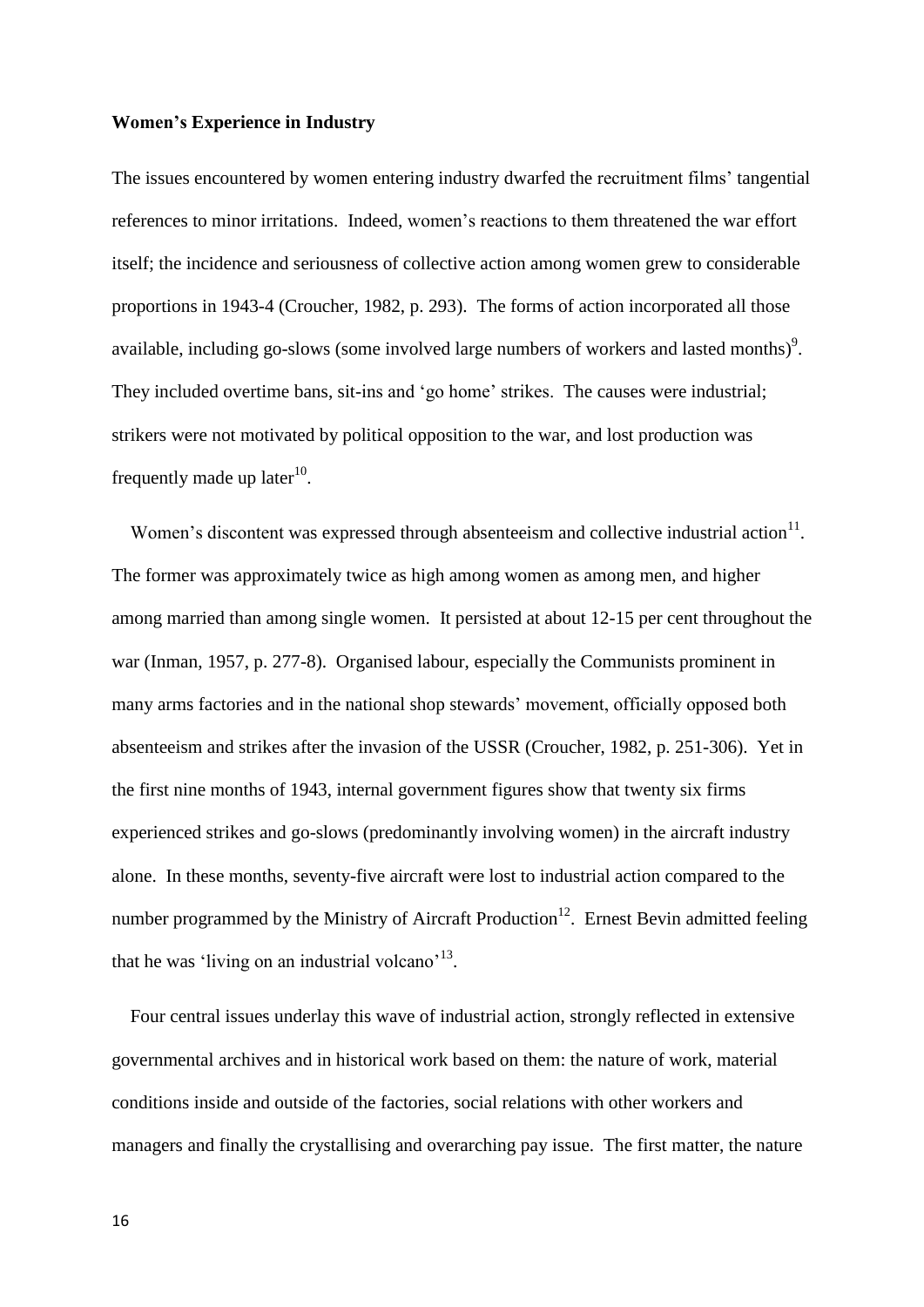#### **Women's Experience in Industry**

The issues encountered by women entering industry dwarfed the recruitment films' tangential references to minor irritations. Indeed, women's reactions to them threatened the war effort itself; the incidence and seriousness of collective action among women grew to considerable proportions in 1943-4 (Croucher, 1982, p. 293). The forms of action incorporated all those available, including go-slows (some involved large numbers of workers and lasted months)<sup>9</sup>. They included overtime bans, sit-ins and 'go home' strikes. The causes were industrial; strikers were not motivated by political opposition to the war, and lost production was frequently made up later $10$ .

Women's discontent was expressed through absenteeism and collective industrial action $11$ . The former was approximately twice as high among women as among men, and higher among married than among single women. It persisted at about 12-15 per cent throughout the war (Inman, 1957, p. 277-8). Organised labour, especially the Communists prominent in many arms factories and in the national shop stewards' movement, officially opposed both absenteeism and strikes after the invasion of the USSR (Croucher, 1982, p. 251-306). Yet in the first nine months of 1943, internal government figures show that twenty six firms experienced strikes and go-slows (predominantly involving women) in the aircraft industry alone. In these months, seventy-five aircraft were lost to industrial action compared to the number programmed by the Ministry of Aircraft Production<sup>12</sup>. Ernest Bevin admitted feeling that he was 'living on an industrial volcano'<sup>13</sup>.

 Four central issues underlay this wave of industrial action, strongly reflected in extensive governmental archives and in historical work based on them: the nature of work, material conditions inside and outside of the factories, social relations with other workers and managers and finally the crystallising and overarching pay issue. The first matter, the nature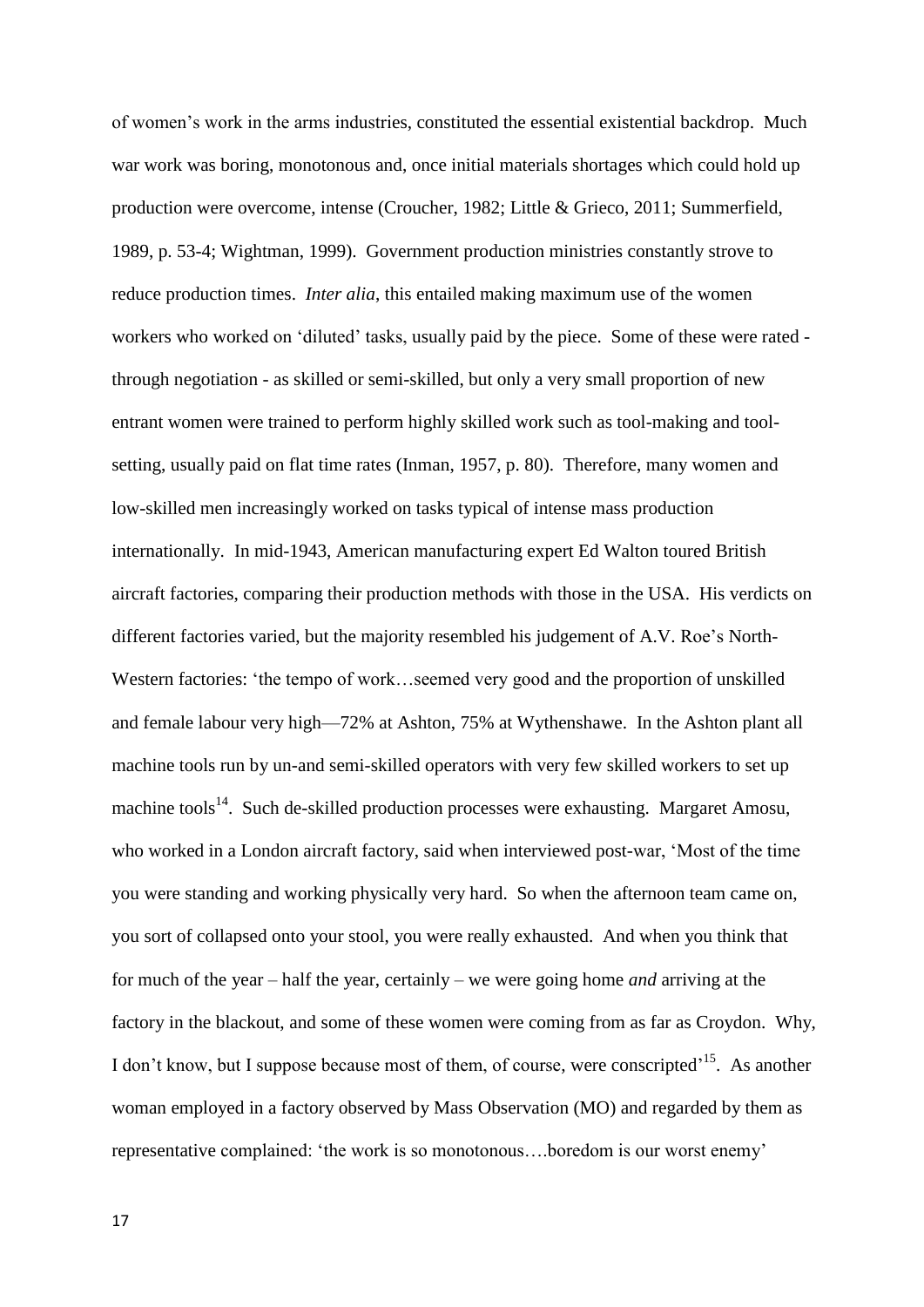of women's work in the arms industries, constituted the essential existential backdrop. Much war work was boring, monotonous and, once initial materials shortages which could hold up production were overcome, intense (Croucher, 1982; Little & Grieco, 2011; Summerfield, 1989, p. 53-4; Wightman, 1999). Government production ministries constantly strove to reduce production times. *Inter alia*, this entailed making maximum use of the women workers who worked on 'diluted' tasks, usually paid by the piece. Some of these were rated through negotiation - as skilled or semi-skilled, but only a very small proportion of new entrant women were trained to perform highly skilled work such as tool-making and toolsetting, usually paid on flat time rates (Inman, 1957, p. 80). Therefore, many women and low-skilled men increasingly worked on tasks typical of intense mass production internationally. In mid-1943, American manufacturing expert Ed Walton toured British aircraft factories, comparing their production methods with those in the USA. His verdicts on different factories varied, but the majority resembled his judgement of A.V. Roe's North-Western factories: 'the tempo of work…seemed very good and the proportion of unskilled and female labour very high—72% at Ashton, 75% at Wythenshawe. In the Ashton plant all machine tools run by un-and semi-skilled operators with very few skilled workers to set up machine tools<sup>14</sup>. Such de-skilled production processes were exhausting. Margaret Amosu, who worked in a London aircraft factory, said when interviewed post-war, 'Most of the time you were standing and working physically very hard. So when the afternoon team came on, you sort of collapsed onto your stool, you were really exhausted. And when you think that for much of the year – half the year, certainly – we were going home *and* arriving at the factory in the blackout, and some of these women were coming from as far as Croydon. Why, I don't know, but I suppose because most of them, of course, were conscripted<sup>'15</sup>. As another woman employed in a factory observed by Mass Observation (MO) and regarded by them as representative complained: 'the work is so monotonous….boredom is our worst enemy'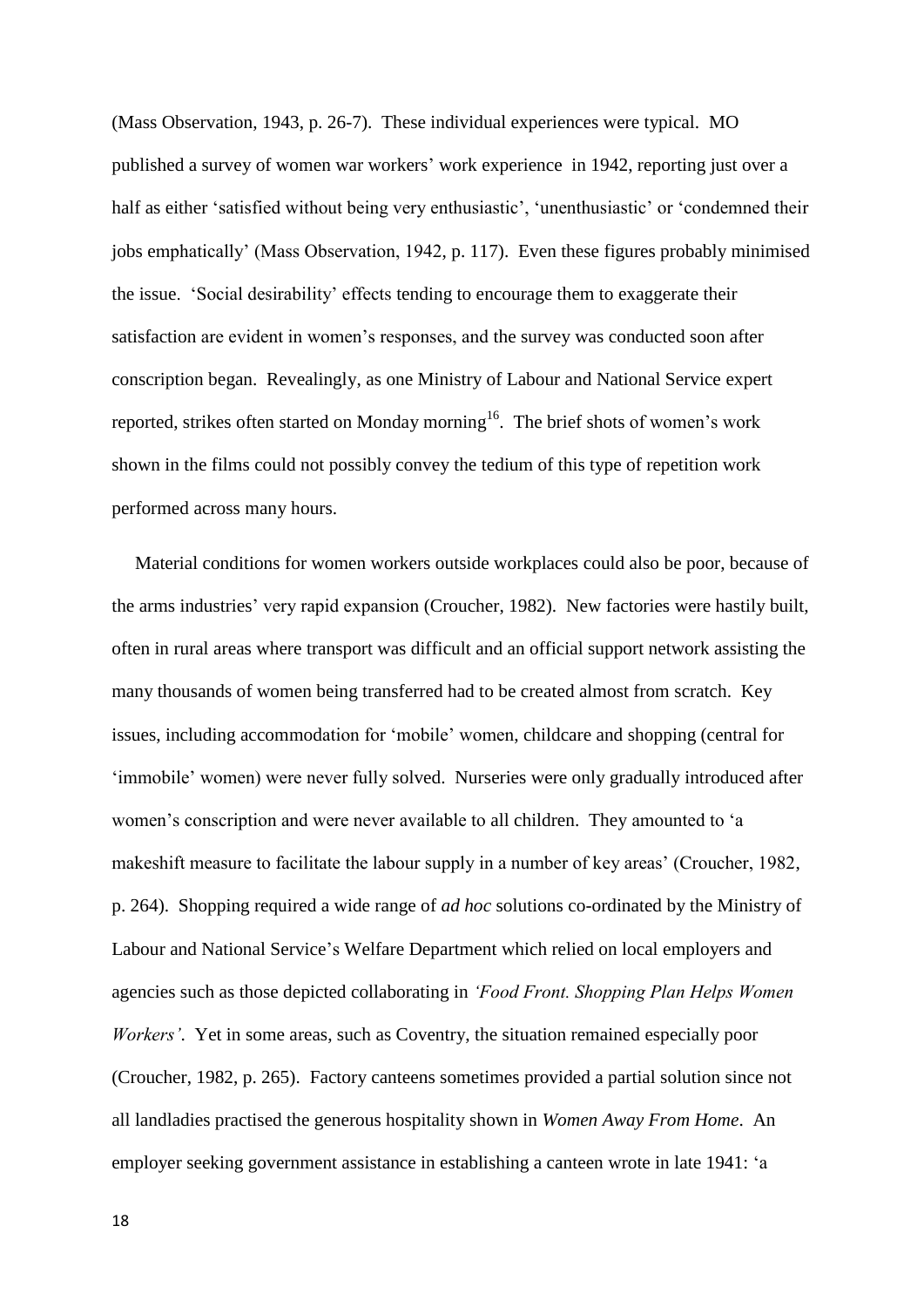(Mass Observation, 1943, p. 26-7). These individual experiences were typical. MO published a survey of women war workers' work experience in 1942, reporting just over a half as either 'satisfied without being very enthusiastic', 'unenthusiastic' or 'condemned their jobs emphatically' (Mass Observation, 1942, p. 117). Even these figures probably minimised the issue. 'Social desirability' effects tending to encourage them to exaggerate their satisfaction are evident in women's responses, and the survey was conducted soon after conscription began. Revealingly, as one Ministry of Labour and National Service expert reported, strikes often started on Monday morning<sup>16</sup>. The brief shots of women's work shown in the films could not possibly convey the tedium of this type of repetition work performed across many hours.

 Material conditions for women workers outside workplaces could also be poor, because of the arms industries' very rapid expansion (Croucher, 1982). New factories were hastily built, often in rural areas where transport was difficult and an official support network assisting the many thousands of women being transferred had to be created almost from scratch. Key issues, including accommodation for 'mobile' women, childcare and shopping (central for 'immobile' women) were never fully solved. Nurseries were only gradually introduced after women's conscription and were never available to all children. They amounted to 'a makeshift measure to facilitate the labour supply in a number of key areas' (Croucher, 1982, p. 264). Shopping required a wide range of *ad hoc* solutions co-ordinated by the Ministry of Labour and National Service's Welfare Department which relied on local employers and agencies such as those depicted collaborating in *'Food Front. Shopping Plan Helps Women Workers'*. Yet in some areas, such as Coventry, the situation remained especially poor (Croucher, 1982, p. 265). Factory canteens sometimes provided a partial solution since not all landladies practised the generous hospitality shown in *Women Away From Home*. An employer seeking government assistance in establishing a canteen wrote in late 1941: 'a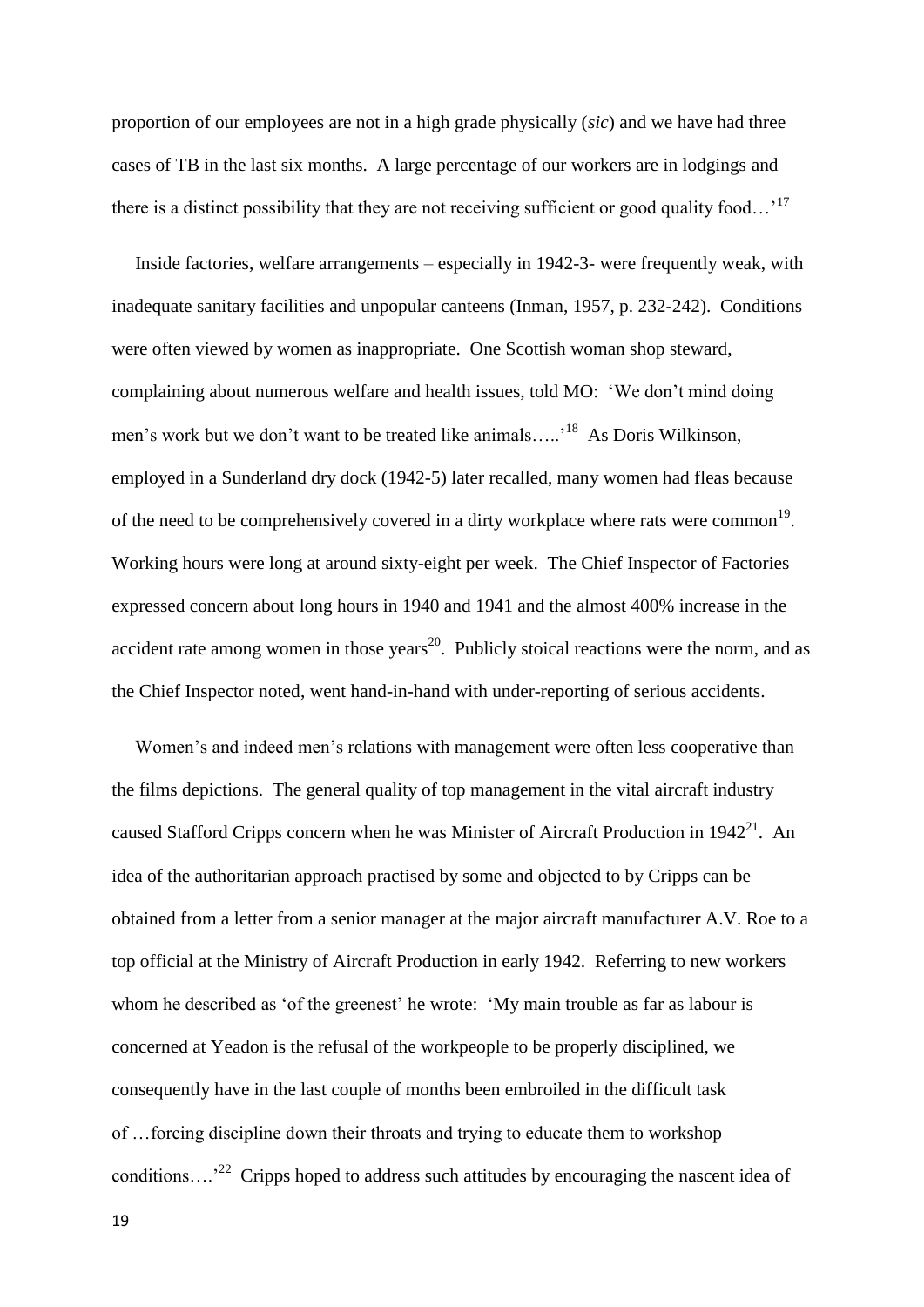proportion of our employees are not in a high grade physically (*sic*) and we have had three cases of TB in the last six months. A large percentage of our workers are in lodgings and there is a distinct possibility that they are not receiving sufficient or good quality food...<sup>17</sup>

 Inside factories, welfare arrangements – especially in 1942-3- were frequently weak, with inadequate sanitary facilities and unpopular canteens (Inman, 1957, p. 232-242). Conditions were often viewed by women as inappropriate. One Scottish woman shop steward, complaining about numerous welfare and health issues, told MO: 'We don't mind doing men's work but we don't want to be treated like animals.....<sup>18</sup> As Doris Wilkinson, employed in a Sunderland dry dock (1942-5) later recalled, many women had fleas because of the need to be comprehensively covered in a dirty workplace where rats were common<sup>19</sup>. Working hours were long at around sixty-eight per week. The Chief Inspector of Factories expressed concern about long hours in 1940 and 1941 and the almost 400% increase in the accident rate among women in those years<sup>20</sup>. Publicly stoical reactions were the norm, and as the Chief Inspector noted, went hand-in-hand with under-reporting of serious accidents.

 Women's and indeed men's relations with management were often less cooperative than the films depictions. The general quality of top management in the vital aircraft industry caused Stafford Cripps concern when he was Minister of Aircraft Production in  $1942^{21}$ . An idea of the authoritarian approach practised by some and objected to by Cripps can be obtained from a letter from a senior manager at the major aircraft manufacturer A.V. Roe to a top official at the Ministry of Aircraft Production in early 1942. Referring to new workers whom he described as 'of the greenest' he wrote: 'My main trouble as far as labour is concerned at Yeadon is the refusal of the workpeople to be properly disciplined, we consequently have in the last couple of months been embroiled in the difficult task of …forcing discipline down their throats and trying to educate them to workshop conditions....<sup>22</sup> Cripps hoped to address such attitudes by encouraging the nascent idea of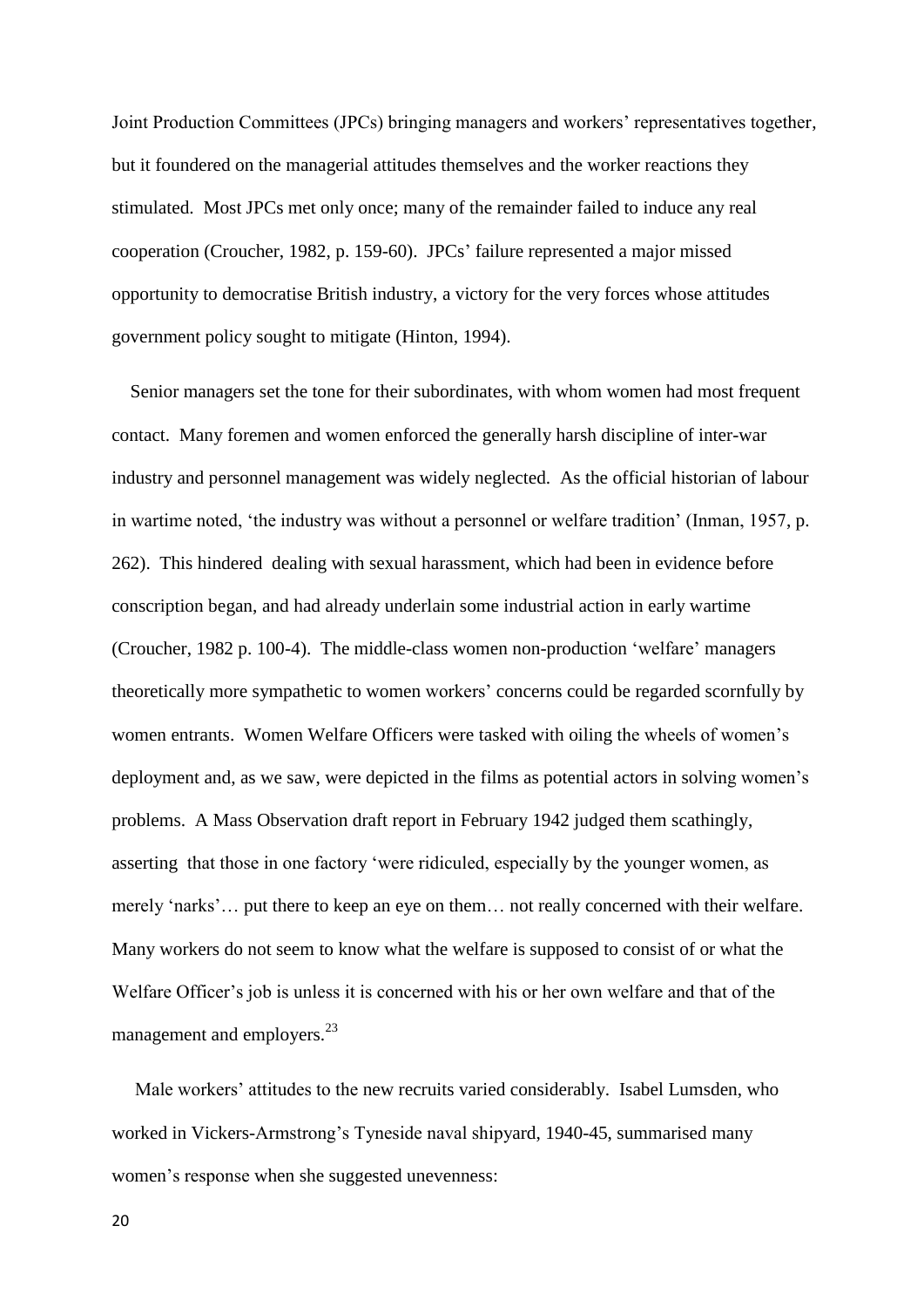Joint Production Committees (JPCs) bringing managers and workers' representatives together, but it foundered on the managerial attitudes themselves and the worker reactions they stimulated. Most JPCs met only once; many of the remainder failed to induce any real cooperation (Croucher, 1982, p. 159-60). JPCs' failure represented a major missed opportunity to democratise British industry, a victory for the very forces whose attitudes government policy sought to mitigate (Hinton, 1994).

 Senior managers set the tone for their subordinates, with whom women had most frequent contact. Many foremen and women enforced the generally harsh discipline of inter-war industry and personnel management was widely neglected. As the official historian of labour in wartime noted, 'the industry was without a personnel or welfare tradition' (Inman, 1957, p. 262). This hindered dealing with sexual harassment, which had been in evidence before conscription began, and had already underlain some industrial action in early wartime (Croucher, 1982 p. 100-4). The middle-class women non-production 'welfare' managers theoretically more sympathetic to women workers' concerns could be regarded scornfully by women entrants. Women Welfare Officers were tasked with oiling the wheels of women's deployment and, as we saw, were depicted in the films as potential actors in solving women's problems. A Mass Observation draft report in February 1942 judged them scathingly, asserting that those in one factory 'were ridiculed, especially by the younger women, as merely 'narks'… put there to keep an eye on them… not really concerned with their welfare. Many workers do not seem to know what the welfare is supposed to consist of or what the Welfare Officer's job is unless it is concerned with his or her own welfare and that of the management and employers.<sup>23</sup>

 Male workers' attitudes to the new recruits varied considerably. Isabel Lumsden, who worked in Vickers-Armstrong's Tyneside naval shipyard, 1940-45, summarised many women's response when she suggested unevenness: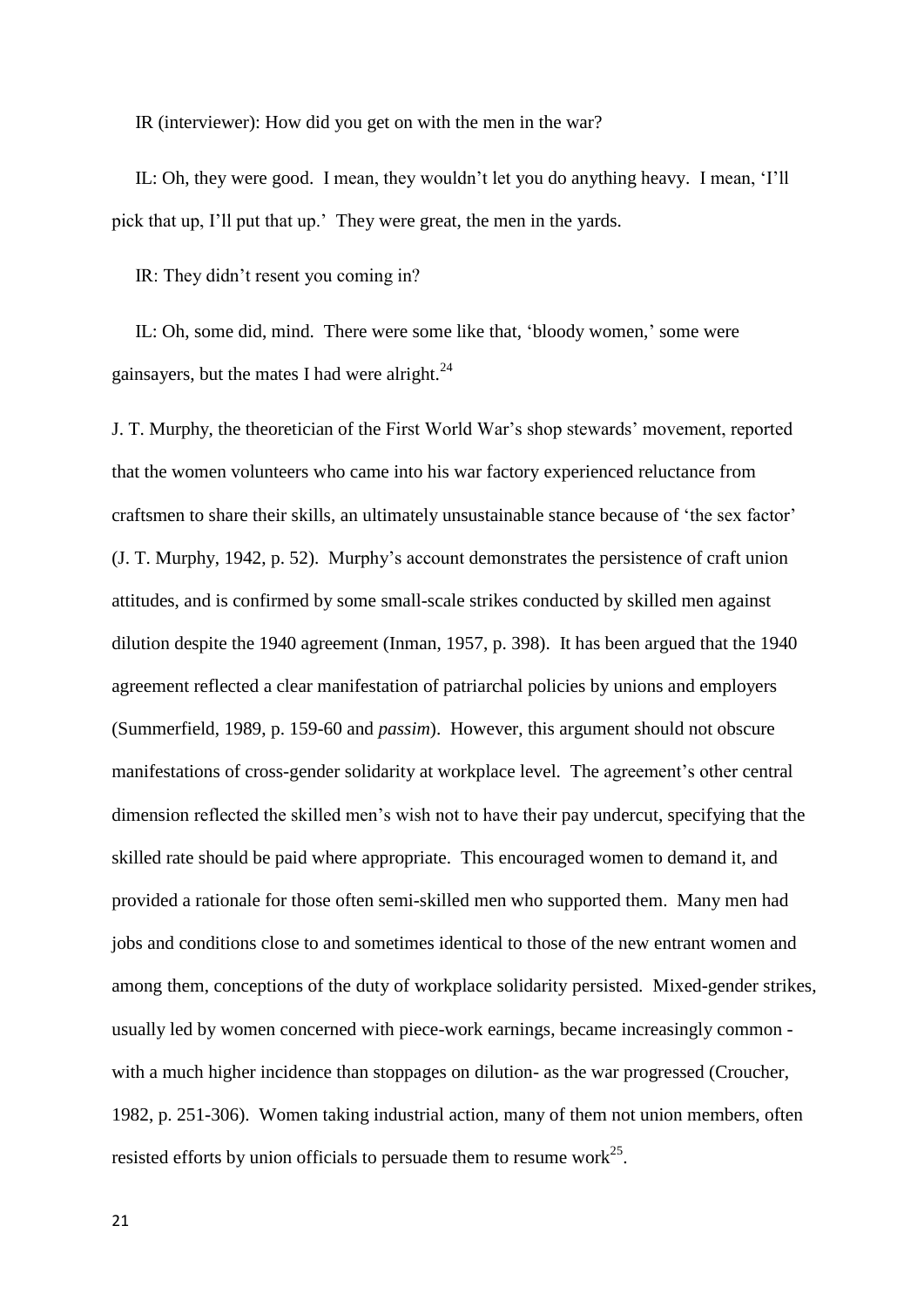IR (interviewer): How did you get on with the men in the war?

 IL: Oh, they were good. I mean, they wouldn't let you do anything heavy. I mean, 'I'll pick that up, I'll put that up.' They were great, the men in the yards.

IR: They didn't resent you coming in?

 IL: Oh, some did, mind. There were some like that, 'bloody women,' some were gainsayers, but the mates I had were alright. $24$ 

J. T. Murphy, the theoretician of the First World War's shop stewards' movement, reported that the women volunteers who came into his war factory experienced reluctance from craftsmen to share their skills, an ultimately unsustainable stance because of 'the sex factor' (J. T. Murphy, 1942, p. 52). Murphy's account demonstrates the persistence of craft union attitudes, and is confirmed by some small-scale strikes conducted by skilled men against dilution despite the 1940 agreement (Inman, 1957, p. 398). It has been argued that the 1940 agreement reflected a clear manifestation of patriarchal policies by unions and employers (Summerfield, 1989, p. 159-60 and *passim*). However, this argument should not obscure manifestations of cross-gender solidarity at workplace level. The agreement's other central dimension reflected the skilled men's wish not to have their pay undercut, specifying that the skilled rate should be paid where appropriate. This encouraged women to demand it, and provided a rationale for those often semi-skilled men who supported them. Many men had jobs and conditions close to and sometimes identical to those of the new entrant women and among them, conceptions of the duty of workplace solidarity persisted. Mixed-gender strikes, usually led by women concerned with piece-work earnings, became increasingly common with a much higher incidence than stoppages on dilution- as the war progressed (Croucher, 1982, p. 251-306). Women taking industrial action, many of them not union members, often resisted efforts by union officials to persuade them to resume work $^{25}$ .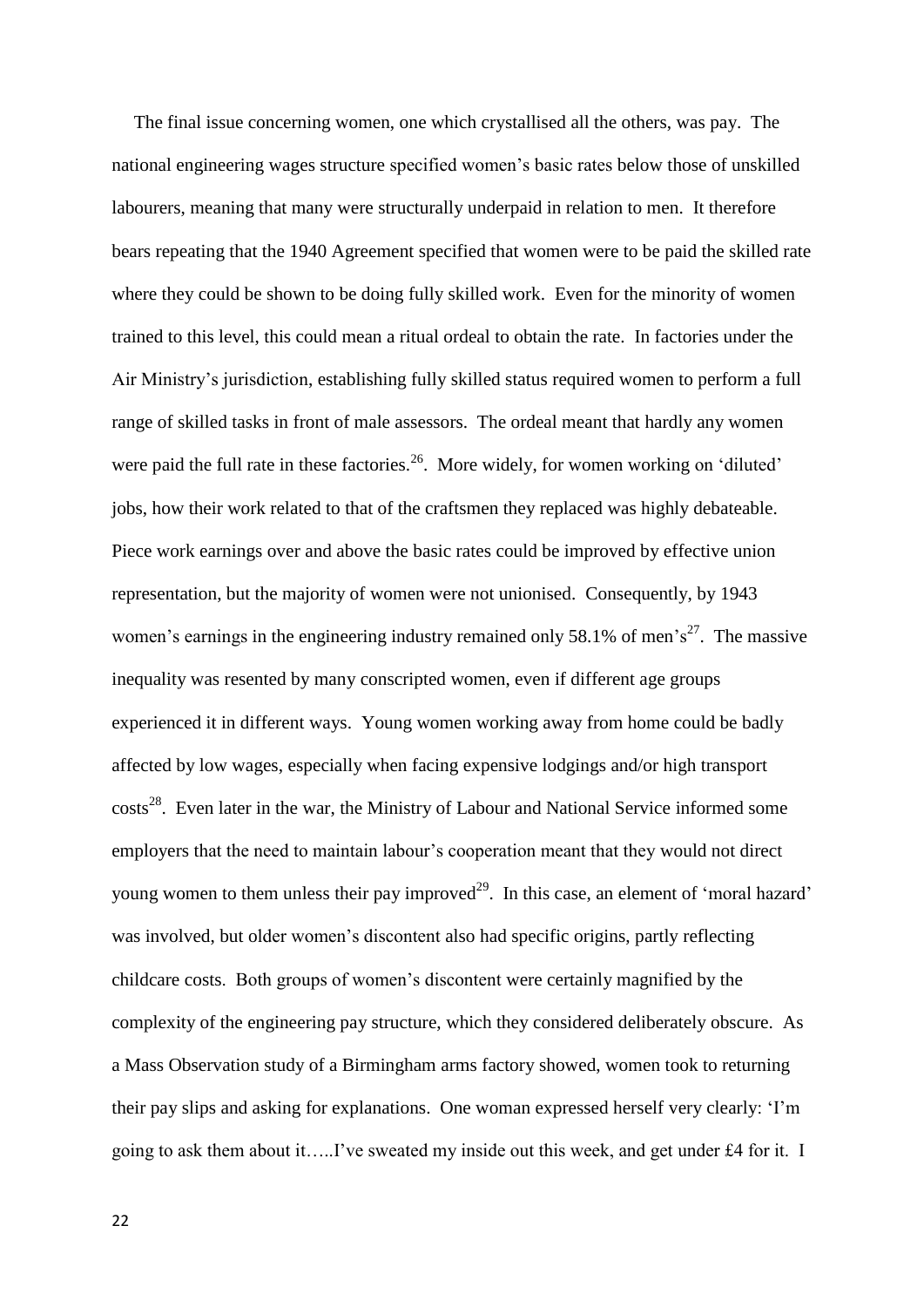The final issue concerning women, one which crystallised all the others, was pay. The national engineering wages structure specified women's basic rates below those of unskilled labourers, meaning that many were structurally underpaid in relation to men. It therefore bears repeating that the 1940 Agreement specified that women were to be paid the skilled rate where they could be shown to be doing fully skilled work. Even for the minority of women trained to this level, this could mean a ritual ordeal to obtain the rate. In factories under the Air Ministry's jurisdiction, establishing fully skilled status required women to perform a full range of skilled tasks in front of male assessors. The ordeal meant that hardly any women were paid the full rate in these factories.<sup>26</sup>. More widely, for women working on 'diluted' jobs, how their work related to that of the craftsmen they replaced was highly debateable. Piece work earnings over and above the basic rates could be improved by effective union representation, but the majority of women were not unionised. Consequently, by 1943 women's earnings in the engineering industry remained only 58.1% of men's<sup>27</sup>. The massive inequality was resented by many conscripted women, even if different age groups experienced it in different ways. Young women working away from home could be badly affected by low wages, especially when facing expensive lodgings and/or high transport costs<sup>28</sup>. Even later in the war, the Ministry of Labour and National Service informed some employers that the need to maintain labour's cooperation meant that they would not direct young women to them unless their pay improved<sup>29</sup>. In this case, an element of 'moral hazard' was involved, but older women's discontent also had specific origins, partly reflecting childcare costs. Both groups of women's discontent were certainly magnified by the complexity of the engineering pay structure, which they considered deliberately obscure. As a Mass Observation study of a Birmingham arms factory showed, women took to returning their pay slips and asking for explanations. One woman expressed herself very clearly: 'I'm going to ask them about it…..I've sweated my inside out this week, and get under £4 for it. I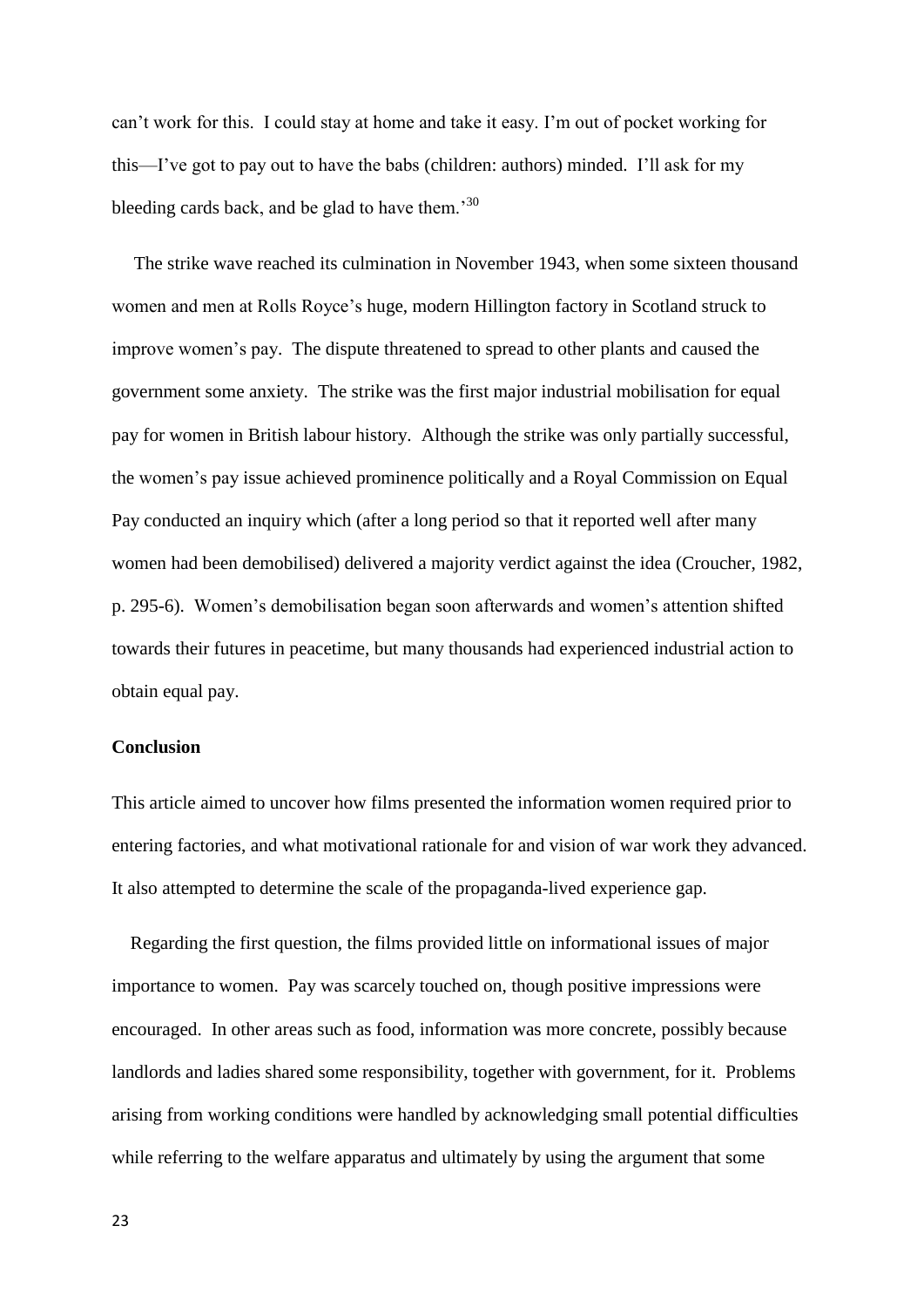can't work for this. I could stay at home and take it easy. I'm out of pocket working for this—I've got to pay out to have the babs (children: authors) minded. I'll ask for my bleeding cards back, and be glad to have them.<sup>30</sup>

The strike wave reached its culmination in November 1943, when some sixteen thousand women and men at Rolls Royce's huge, modern Hillington factory in Scotland struck to improve women's pay. The dispute threatened to spread to other plants and caused the government some anxiety. The strike was the first major industrial mobilisation for equal pay for women in British labour history. Although the strike was only partially successful, the women's pay issue achieved prominence politically and a Royal Commission on Equal Pay conducted an inquiry which (after a long period so that it reported well after many women had been demobilised) delivered a majority verdict against the idea (Croucher, 1982, p. 295-6). Women's demobilisation began soon afterwards and women's attention shifted towards their futures in peacetime, but many thousands had experienced industrial action to obtain equal pay.

## **Conclusion**

This article aimed to uncover how films presented the information women required prior to entering factories, and what motivational rationale for and vision of war work they advanced. It also attempted to determine the scale of the propaganda-lived experience gap.

 Regarding the first question, the films provided little on informational issues of major importance to women. Pay was scarcely touched on, though positive impressions were encouraged. In other areas such as food, information was more concrete, possibly because landlords and ladies shared some responsibility, together with government, for it. Problems arising from working conditions were handled by acknowledging small potential difficulties while referring to the welfare apparatus and ultimately by using the argument that some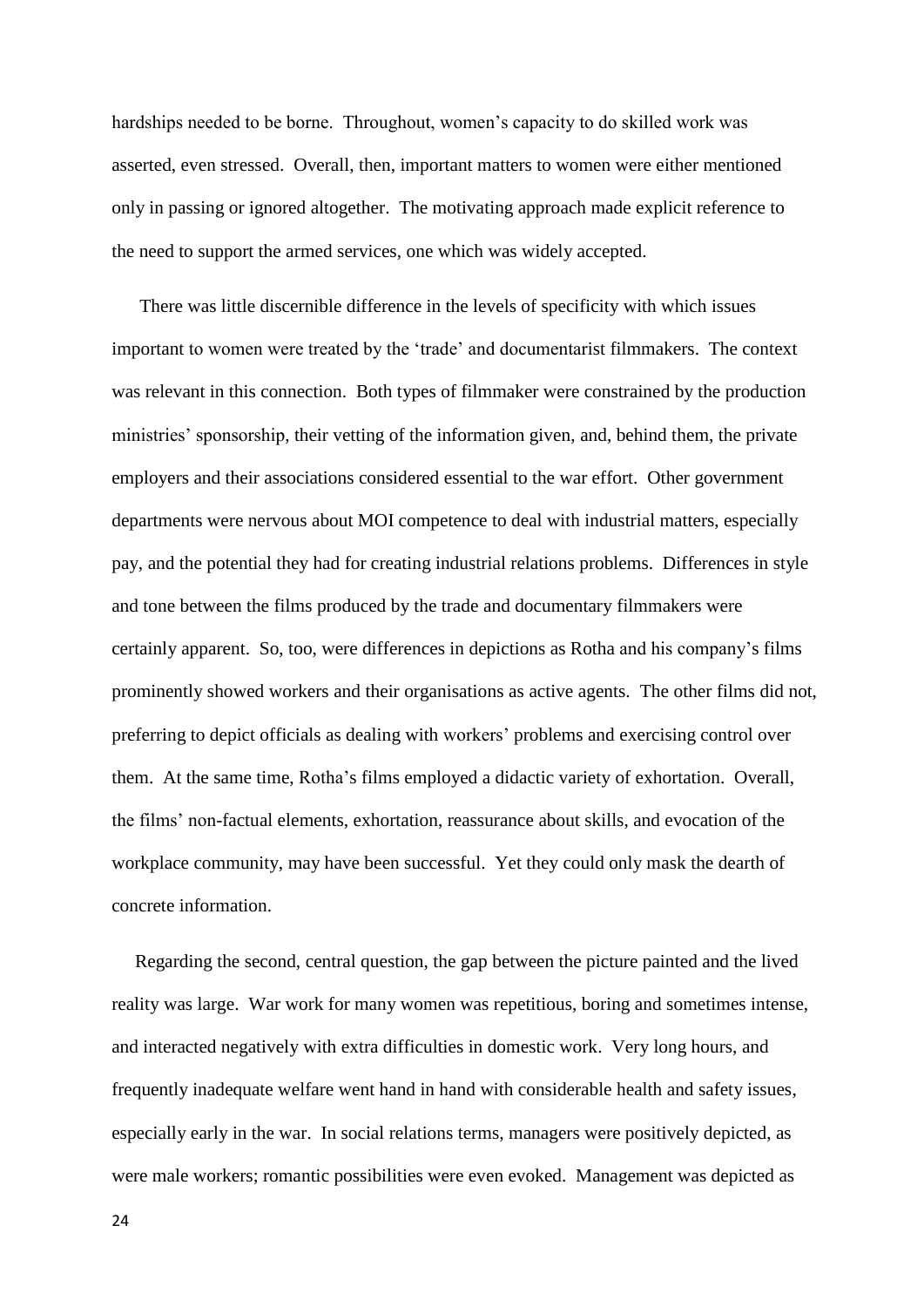hardships needed to be borne. Throughout, women's capacity to do skilled work was asserted, even stressed. Overall, then, important matters to women were either mentioned only in passing or ignored altogether. The motivating approach made explicit reference to the need to support the armed services, one which was widely accepted.

 There was little discernible difference in the levels of specificity with which issues important to women were treated by the 'trade' and documentarist filmmakers. The context was relevant in this connection. Both types of filmmaker were constrained by the production ministries' sponsorship, their vetting of the information given, and, behind them, the private employers and their associations considered essential to the war effort. Other government departments were nervous about MOI competence to deal with industrial matters, especially pay, and the potential they had for creating industrial relations problems. Differences in style and tone between the films produced by the trade and documentary filmmakers were certainly apparent. So, too, were differences in depictions as Rotha and his company's films prominently showed workers and their organisations as active agents. The other films did not, preferring to depict officials as dealing with workers' problems and exercising control over them. At the same time, Rotha's films employed a didactic variety of exhortation. Overall, the films' non-factual elements, exhortation, reassurance about skills, and evocation of the workplace community, may have been successful. Yet they could only mask the dearth of concrete information.

 Regarding the second, central question, the gap between the picture painted and the lived reality was large. War work for many women was repetitious, boring and sometimes intense, and interacted negatively with extra difficulties in domestic work. Very long hours, and frequently inadequate welfare went hand in hand with considerable health and safety issues, especially early in the war. In social relations terms, managers were positively depicted, as were male workers; romantic possibilities were even evoked. Management was depicted as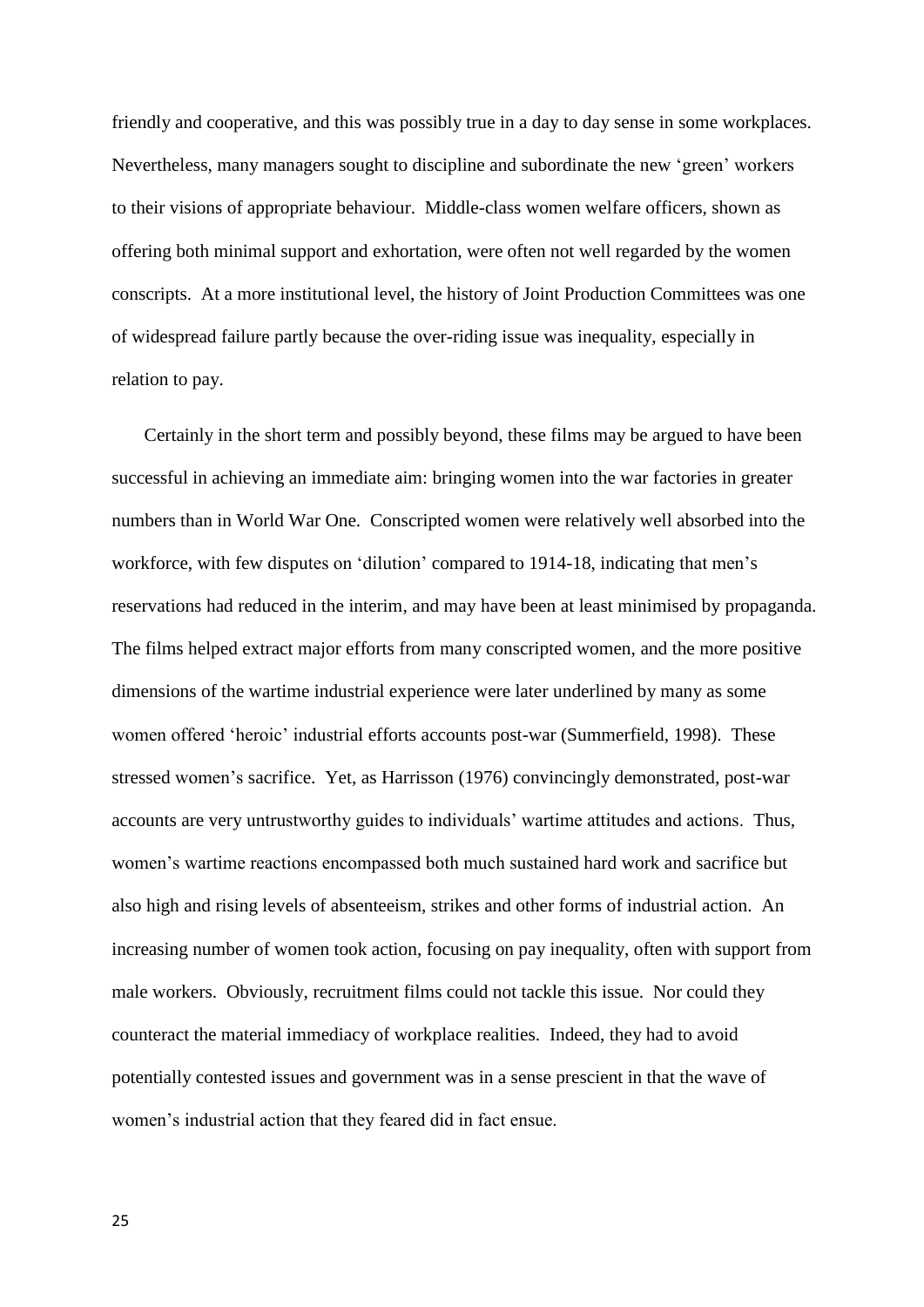friendly and cooperative, and this was possibly true in a day to day sense in some workplaces. Nevertheless, many managers sought to discipline and subordinate the new 'green' workers to their visions of appropriate behaviour. Middle-class women welfare officers, shown as offering both minimal support and exhortation, were often not well regarded by the women conscripts. At a more institutional level, the history of Joint Production Committees was one of widespread failure partly because the over-riding issue was inequality, especially in relation to pay.

 Certainly in the short term and possibly beyond, these films may be argued to have been successful in achieving an immediate aim: bringing women into the war factories in greater numbers than in World War One. Conscripted women were relatively well absorbed into the workforce, with few disputes on 'dilution' compared to 1914-18, indicating that men's reservations had reduced in the interim, and may have been at least minimised by propaganda. The films helped extract major efforts from many conscripted women, and the more positive dimensions of the wartime industrial experience were later underlined by many as some women offered 'heroic' industrial efforts accounts post-war (Summerfield, 1998). These stressed women's sacrifice. Yet, as Harrisson (1976) convincingly demonstrated, post-war accounts are very untrustworthy guides to individuals' wartime attitudes and actions. Thus, women's wartime reactions encompassed both much sustained hard work and sacrifice but also high and rising levels of absenteeism, strikes and other forms of industrial action. An increasing number of women took action, focusing on pay inequality, often with support from male workers. Obviously, recruitment films could not tackle this issue. Nor could they counteract the material immediacy of workplace realities. Indeed, they had to avoid potentially contested issues and government was in a sense prescient in that the wave of women's industrial action that they feared did in fact ensue.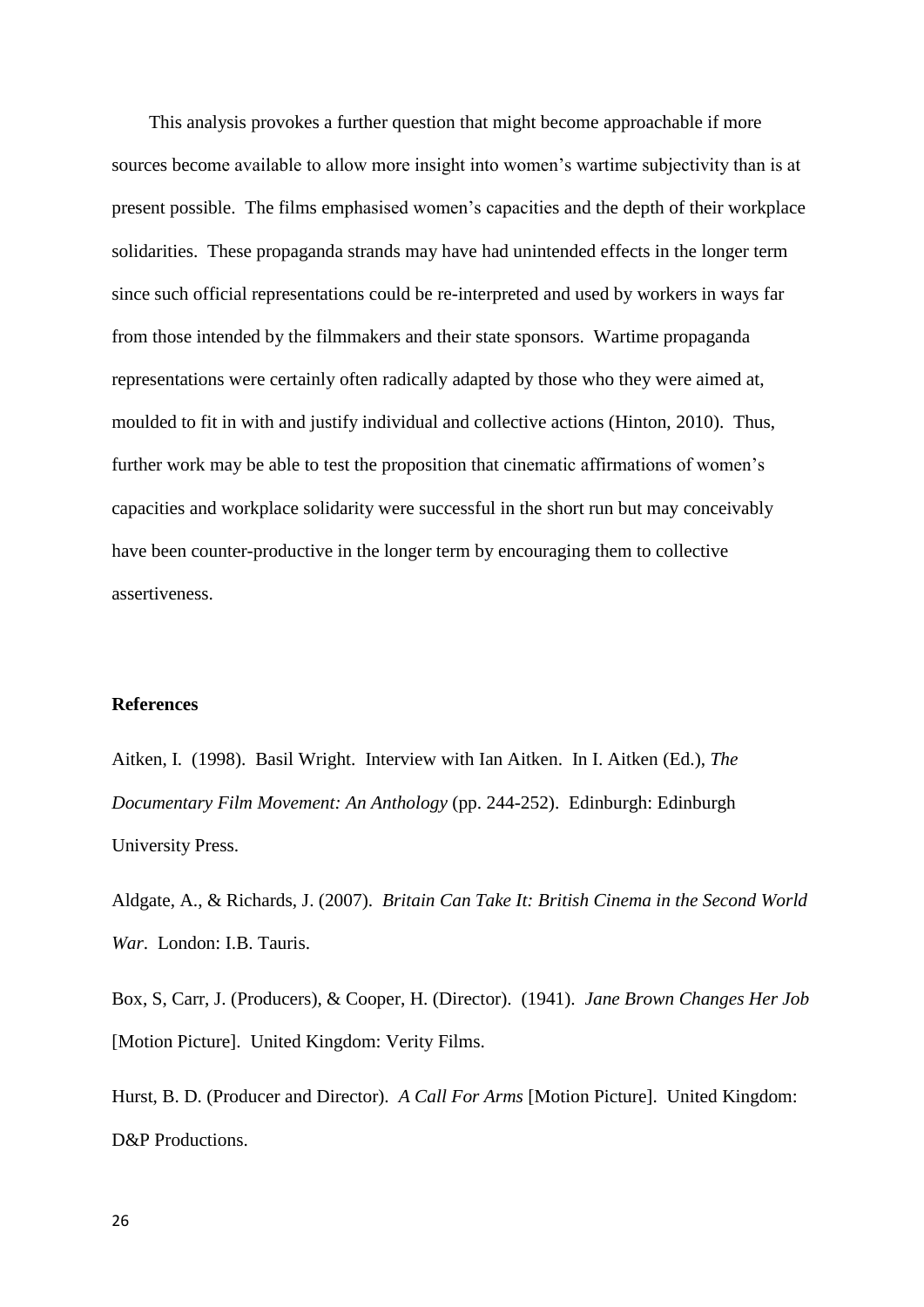This analysis provokes a further question that might become approachable if more sources become available to allow more insight into women's wartime subjectivity than is at present possible. The films emphasised women's capacities and the depth of their workplace solidarities. These propaganda strands may have had unintended effects in the longer term since such official representations could be re-interpreted and used by workers in ways far from those intended by the filmmakers and their state sponsors. Wartime propaganda representations were certainly often radically adapted by those who they were aimed at, moulded to fit in with and justify individual and collective actions (Hinton, 2010). Thus, further work may be able to test the proposition that cinematic affirmations of women's capacities and workplace solidarity were successful in the short run but may conceivably have been counter-productive in the longer term by encouraging them to collective assertiveness.

## **References**

Aitken, I. (1998). Basil Wright. Interview with Ian Aitken. In I. Aitken (Ed.), *The Documentary Film Movement: An Anthology* (pp. 244-252). Edinburgh: Edinburgh University Press.

Aldgate, A., & Richards, J. (2007). *Britain Can Take It: British Cinema in the Second World War*. London: I.B. Tauris.

Box, S, Carr, J. (Producers), & Cooper, H. (Director). (1941). *Jane Brown Changes Her Job* [Motion Picture]. United Kingdom: Verity Films.

Hurst, B. D. (Producer and Director). *A Call For Arms* [Motion Picture]. United Kingdom: D&P Productions.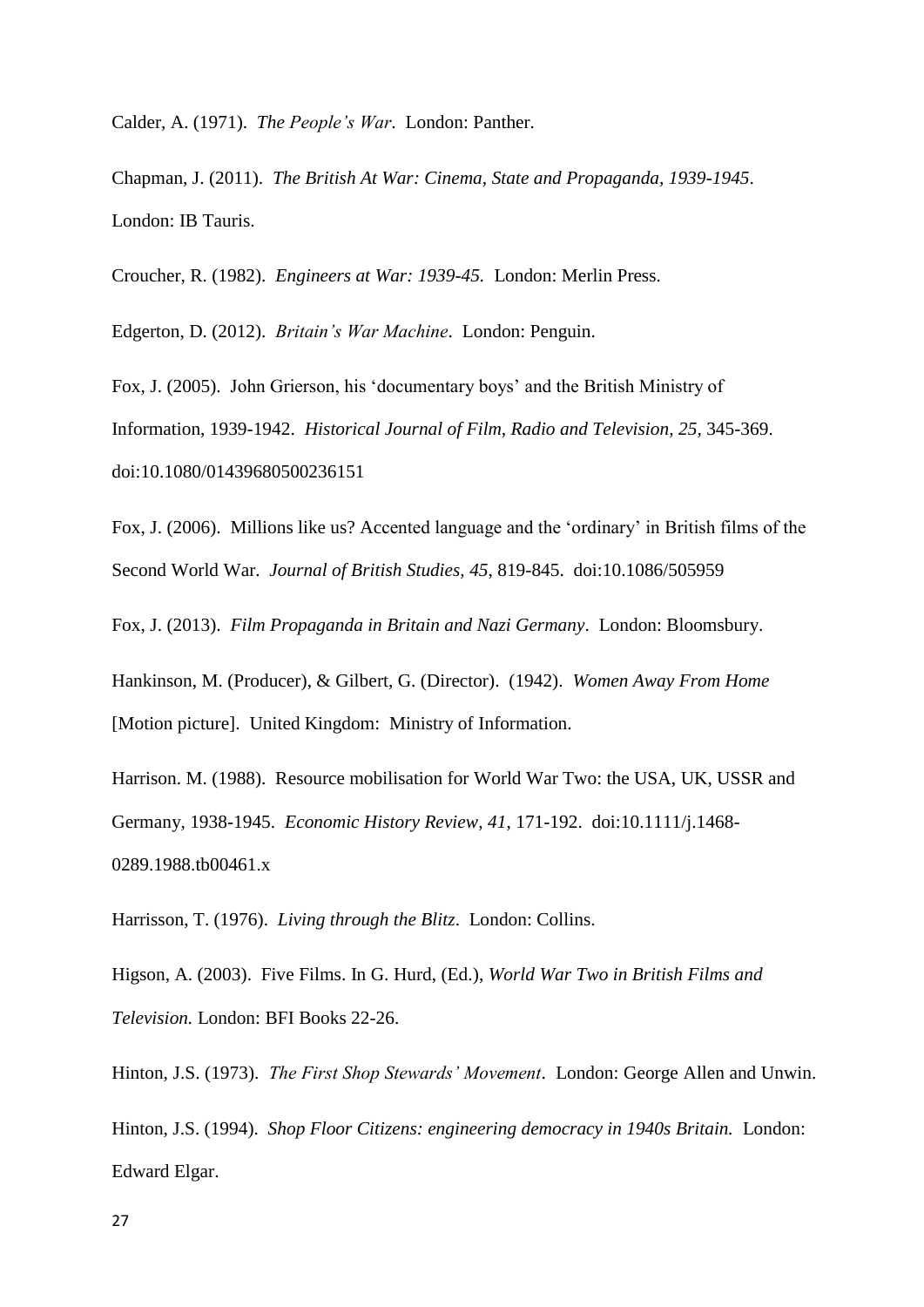Calder, A. (1971). *The People's War*. London: Panther.

Chapman, J. (2011). *The British At War: Cinema, State and Propaganda, 1939-1945*. London: IB Tauris.

Croucher, R. (1982). *Engineers at War: 1939-45.* London: Merlin Press.

Edgerton, D. (2012). *Britain's War Machine*. London: Penguin.

Fox, J. (2005). John Grierson, his 'documentary boys' and the British Ministry of Information, 1939-1942. *Historical Journal of Film, Radio and Television, 25,* 345-369. doi:10.1080/01439680500236151

Fox, J. (2006). Millions like us? Accented language and the 'ordinary' in British films of the Second World War. *Journal of British Studies, 45*, 819-845. doi:10.1086/505959

Fox, J. (2013). *Film Propaganda in Britain and Nazi Germany*. London: Bloomsbury.

Hankinson, M. (Producer), & Gilbert, G. (Director). (1942). *Women Away From Home* [Motion picture]. United Kingdom: Ministry of Information.

Harrison. M. (1988). Resource mobilisation for World War Two: the USA, UK, USSR and Germany, 1938-1945. *Economic History Review, 41*, 171-192. doi:10.1111/j.1468- 0289.1988.tb00461.x

Harrisson, T. (1976). *Living through the Blitz*. London: Collins.

Higson, A. (2003). Five Films. In G. Hurd, (Ed.), *World War Two in British Films and Television.* London: BFI Books 22-26.

Hinton, J.S. (1973). *The First Shop Stewards' Movement*. London: George Allen and Unwin. Hinton, J.S. (1994). *Shop Floor Citizens: engineering democracy in 1940s Britain.* London: Edward Elgar.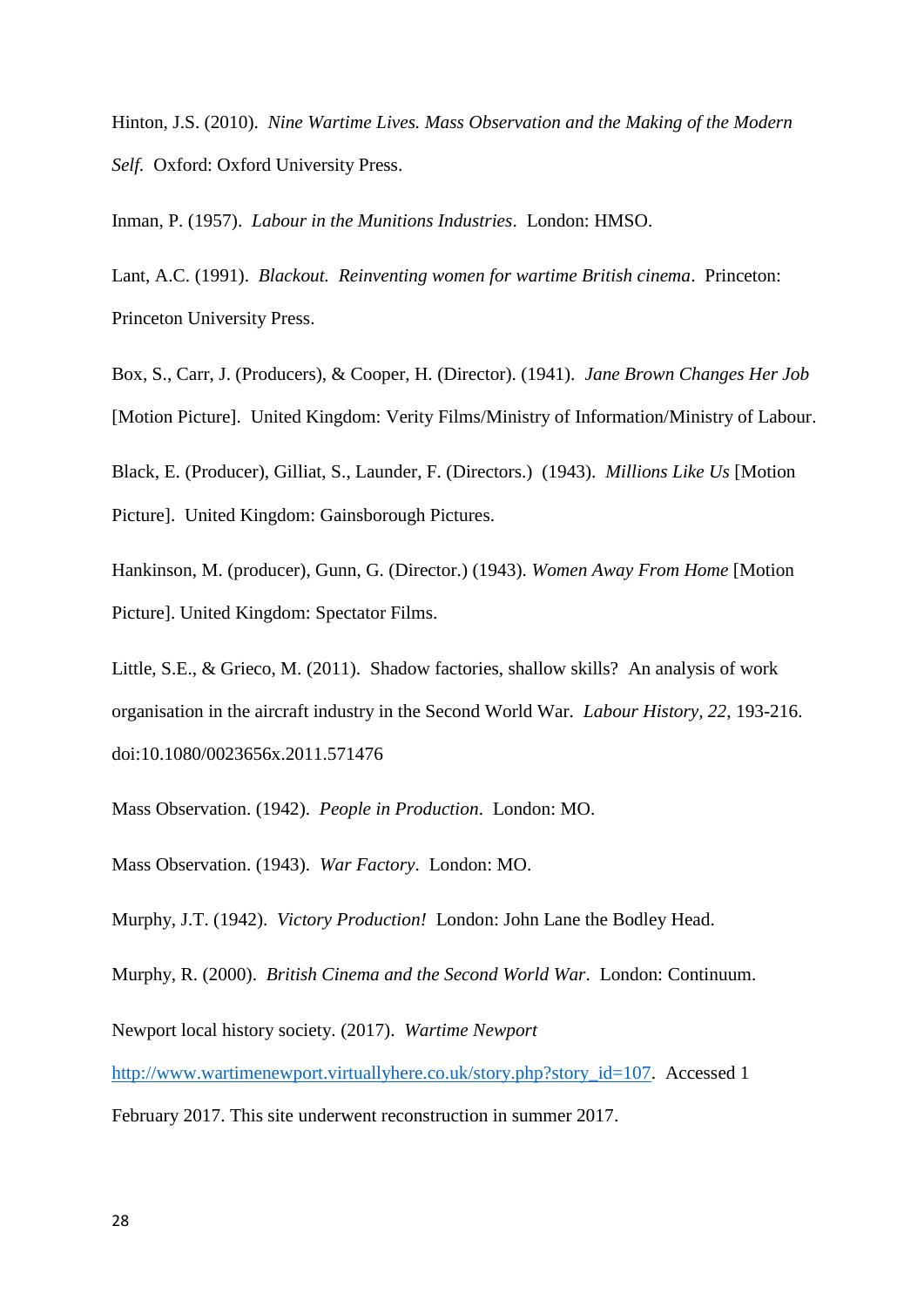Hinton, J.S. (2010). *Nine Wartime Lives. Mass Observation and the Making of the Modern Self.* Oxford: Oxford University Press.

Inman, P. (1957). *Labour in the Munitions Industries*. London: HMSO.

Lant, A.C. (1991). *Blackout. Reinventing women for wartime British cinema*. Princeton: Princeton University Press.

Box, S., Carr, J. (Producers), & Cooper, H. (Director). (1941). *Jane Brown Changes Her Job* [Motion Picture]. United Kingdom: Verity Films/Ministry of Information/Ministry of Labour.

Black, E. (Producer), Gilliat, S., Launder, F. (Directors.) (1943). *Millions Like Us* [Motion Picture]. United Kingdom: Gainsborough Pictures.

Hankinson, M. (producer), Gunn, G. (Director.) (1943). *Women Away From Home* [Motion Picture]. United Kingdom: Spectator Films.

Little, S.E., & Grieco, M. (2011). Shadow factories, shallow skills? An analysis of work organisation in the aircraft industry in the Second World War. *Labour History, 22*, 193-216. doi:10.1080/0023656x.2011.571476

Mass Observation. (1942). *People in Production*. London: MO.

Mass Observation. (1943). *War Factory*. London: MO.

Murphy, J.T. (1942). *Victory Production!* London: John Lane the Bodley Head.

Murphy, R. (2000). *British Cinema and the Second World War*. London: Continuum.

Newport local history society. (2017). *Wartime Newport* [http://www.wartimenewport.virtuallyhere.co.uk/story.php?story\\_id=107.](http://www.wartimenewport.virtuallyhere.co.uk/story.php?story_id=107) Accessed 1 February 2017. This site underwent reconstruction in summer 2017.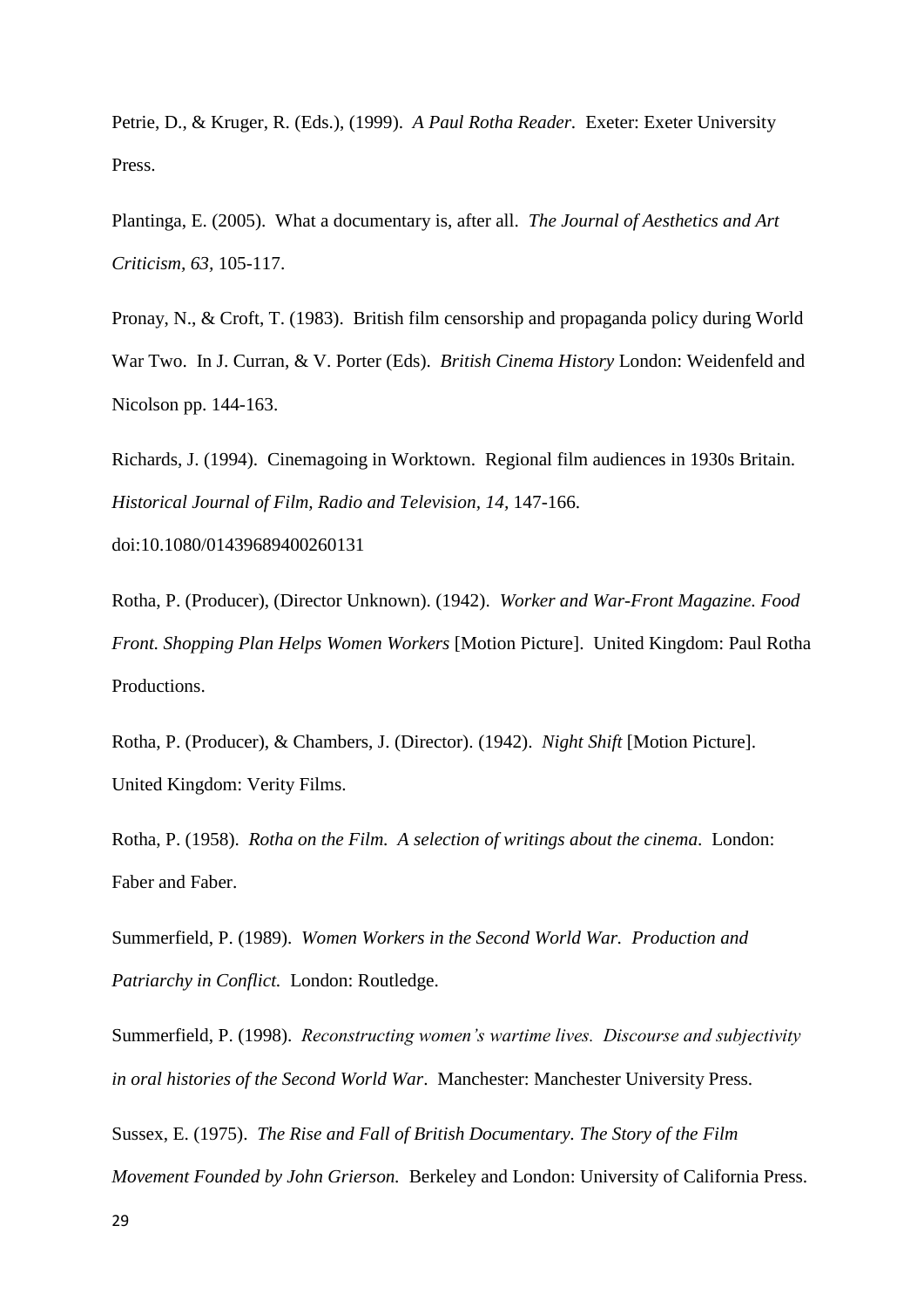Petrie, D., & Kruger, R. (Eds.), (1999). *A Paul Rotha Reader.* Exeter: Exeter University Press.

Plantinga, E. (2005). What a documentary is, after all. *The Journal of Aesthetics and Art Criticism, 63,* 105-117.

Pronay, N., & Croft, T. (1983). British film censorship and propaganda policy during World War Two. In J. Curran, & V. Porter (Eds). *British Cinema History* London: Weidenfeld and Nicolson pp. 144-163.

Richards, J. (1994). Cinemagoing in Worktown. Regional film audiences in 1930s Britain. *Historical Journal of Film, Radio and Television, 14,* 147-166.

doi:10.1080/01439689400260131

Rotha, P. (Producer), (Director Unknown). (1942). *Worker and War-Front Magazine. Food Front. Shopping Plan Helps Women Workers* [Motion Picture]. United Kingdom: Paul Rotha Productions.

Rotha, P. (Producer), & Chambers, J. (Director). (1942). *Night Shift* [Motion Picture]. United Kingdom: Verity Films.

Rotha, P. (1958). *Rotha on the Film. A selection of writings about the cinema*. London: Faber and Faber.

Summerfield, P. (1989). *Women Workers in the Second World War. Production and Patriarchy in Conflict.* London: Routledge.

Summerfield, P. (1998). *Reconstructing women's wartime lives. Discourse and subjectivity in oral histories of the Second World War*. Manchester: Manchester University Press.

Sussex, E. (1975). *The Rise and Fall of British Documentary. The Story of the Film Movement Founded by John Grierson.* Berkeley and London: University of California Press.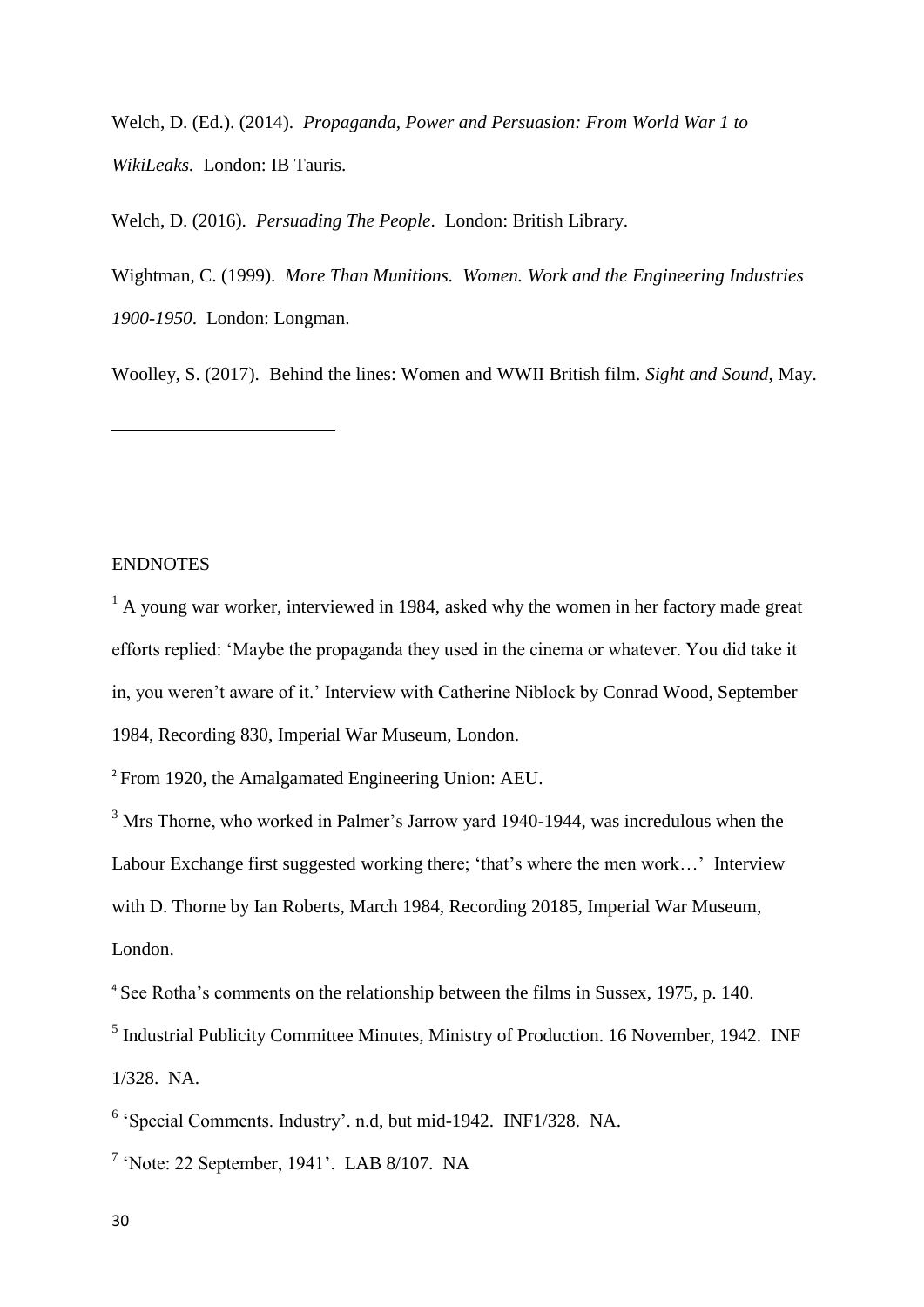Welch, D. (Ed.). (2014). *Propaganda, Power and Persuasion: From World War 1 to WikiLeaks.* London: IB Tauris.

Welch, D. (2016). *Persuading The People*. London: British Library.

Wightman, C. (1999). *More Than Munitions. Women. Work and the Engineering Industries 1900-1950*. London: Longman.

Woolley, S. (2017). Behind the lines: Women and WWII British film. *Sight and Sound*, May.

## ENDNOTES

 $\overline{\phantom{a}}$ 

 $<sup>1</sup>$  A young war worker, interviewed in 1984, asked why the women in her factory made great</sup> efforts replied: 'Maybe the propaganda they used in the cinema or whatever. You did take it in, you weren't aware of it.' Interview with Catherine Niblock by Conrad Wood, September 1984, Recording 830, Imperial War Museum, London.

<sup>2</sup> From 1920, the Amalgamated Engineering Union: AEU.

<sup>3</sup> Mrs Thorne, who worked in Palmer's Jarrow yard 1940-1944, was incredulous when the Labour Exchange first suggested working there; 'that's where the men work...' Interview with D. Thorne by Ian Roberts, March 1984, Recording 20185, Imperial War Museum, London.

4 See Rotha's comments on the relationship between the films in Sussex, 1975, p. 140.

<sup>5</sup> Industrial Publicity Committee Minutes, Ministry of Production. 16 November, 1942. INF 1/328. NA.

6 'Special Comments. Industry'. n.d, but mid-1942. INF1/328. NA.

 $7$  'Note: 22 September, 1941'. LAB 8/107. NA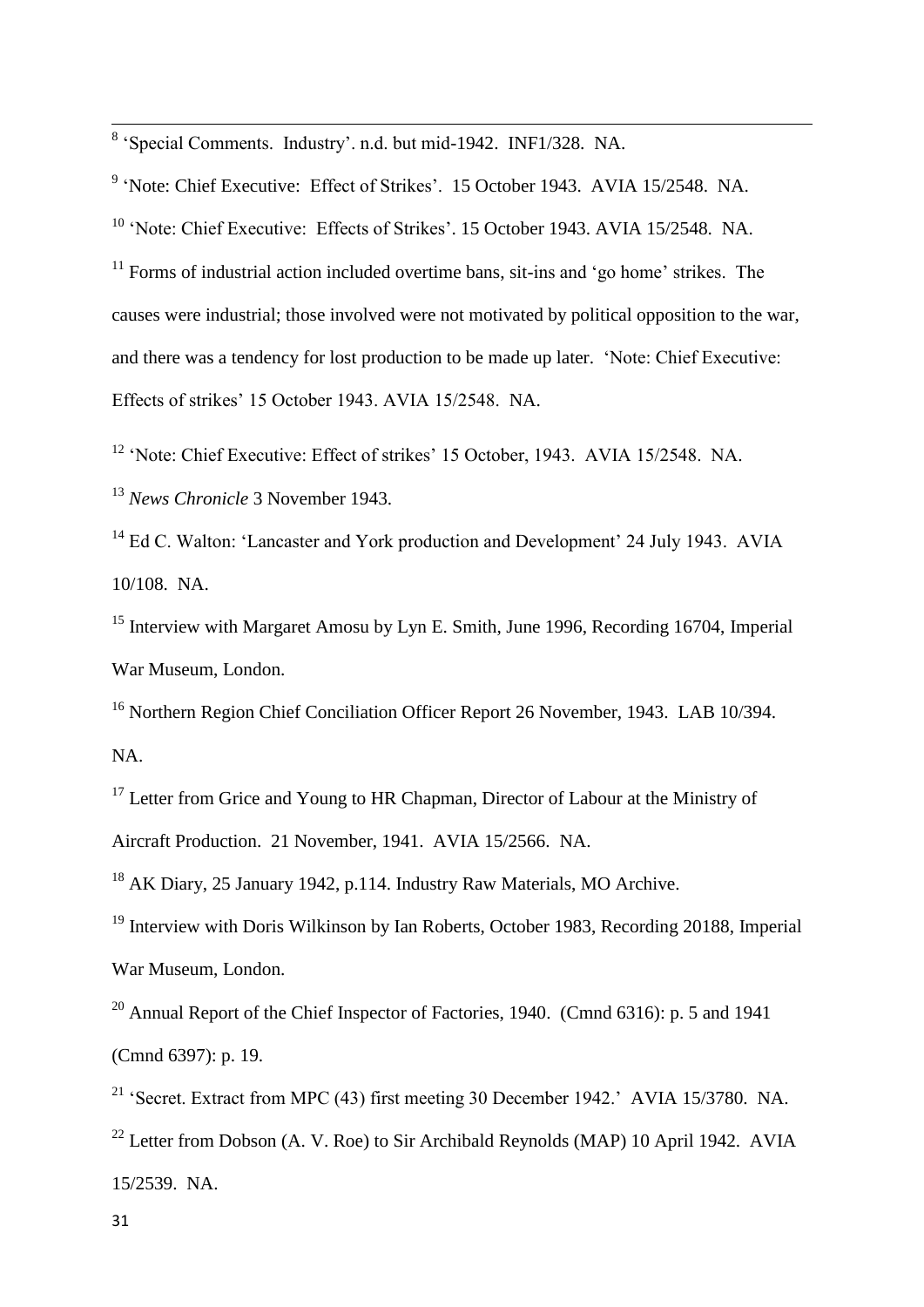8 'Special Comments. Industry'. n.d. but mid-1942. INF1/328. NA.

<sup>9</sup> 'Note: Chief Executive: Effect of Strikes'. 15 October 1943. AVIA 15/2548. NA.

<sup>10</sup> 'Note: Chief Executive: Effects of Strikes'. 15 October 1943. AVIA 15/2548. NA.

 $11$  Forms of industrial action included overtime bans, sit-ins and 'go home' strikes. The causes were industrial; those involved were not motivated by political opposition to the war, and there was a tendency for lost production to be made up later. 'Note: Chief Executive: Effects of strikes' 15 October 1943. AVIA 15/2548. NA.

<sup>12</sup> 'Note: Chief Executive: Effect of strikes' 15 October, 1943. AVIA 15/2548. NA.

<sup>13</sup> *News Chronicle* 3 November 1943.

<sup>14</sup> Ed C. Walton: 'Lancaster and York production and Development' 24 July 1943. AVIA 10/108. NA.

<sup>15</sup> Interview with Margaret Amosu by Lyn E. Smith, June 1996, Recording 16704, Imperial War Museum, London.

<sup>16</sup> Northern Region Chief Conciliation Officer Report 26 November, 1943. LAB 10/394. NA.

<sup>17</sup> Letter from Grice and Young to HR Chapman, Director of Labour at the Ministry of Aircraft Production. 21 November, 1941. AVIA 15/2566. NA.

<sup>18</sup> AK Diary, 25 January 1942, p.114. Industry Raw Materials, MO Archive.

<sup>19</sup> Interview with Doris Wilkinson by Ian Roberts, October 1983, Recording 20188, Imperial War Museum, London.

<sup>20</sup> Annual Report of the Chief Inspector of Factories, 1940. (Cmnd 6316): p. 5 and 1941 (Cmnd 6397): p. 19.

<sup>21</sup> 'Secret. Extract from MPC (43) first meeting 30 December 1942.' AVIA 15/3780. NA.  $22$  Letter from Dobson (A. V. Roe) to Sir Archibald Reynolds (MAP) 10 April 1942. AVIA 15/2539. NA.